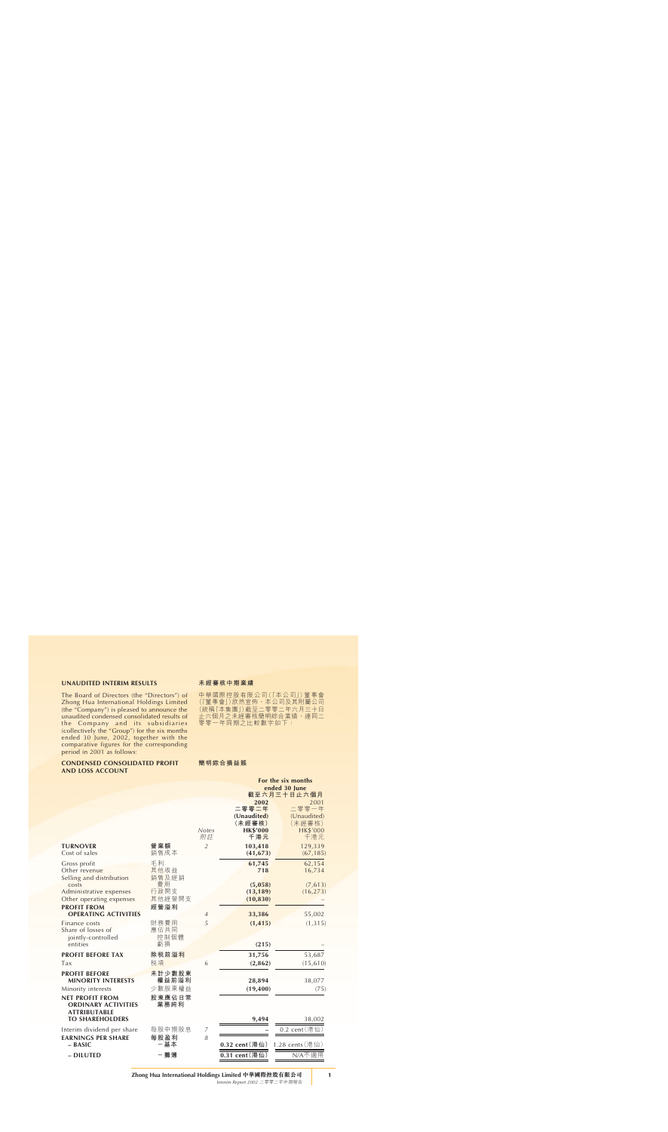### **UNAUDITED INTERIM RESULTS**

The Board of Directors (the "Directors") of Zhong Hua International Holdings Limited (the "Company") is pleased to announce the unaudited condensed consolidated results of the Company and its subsidiaries (collectively the "Group") for the six months ended 30 June, 2002, together with the comparative figures for the corresponding period in 2001 as follows:

#### **CONDENSED CONSOLIDATED PROFIT AND LOSS ACCOUNT**

#### **未經審核中期業績**

中華國際控股有限公司(「本公司」)董事會 ( | 重事會」) 欣然宣佈,本公司及其附屬公司 (統稱「本集團」)截至二零零二年六月三十日 止六個月之未經審核簡明綜合業績,連同二 零零一年同期之比較數字如下:

### **簡明綜合損益賬**

|                                   |             |                    | For the six months     |                        |  |
|-----------------------------------|-------------|--------------------|------------------------|------------------------|--|
|                                   |             |                    |                        | ended 30 June          |  |
|                                   |             |                    |                        | 截至六月三十日止六個月            |  |
|                                   |             |                    | 2002                   | 2001                   |  |
|                                   |             |                    | 二零零二年                  | 二零零一年                  |  |
|                                   |             |                    | (Unaudited)            | (Unaudited)            |  |
|                                   |             |                    | (未經審核)                 | (未經審核)                 |  |
|                                   |             | <b>Notes</b><br>附註 | <b>HK\$'000</b><br>千港元 | <b>HK\$'000</b><br>千港元 |  |
| <b>TURNOVER</b>                   | 營業額         | $\overline{2}$     | 103,418                | 129,339                |  |
| Cost of sales                     | 銷售成本        |                    | (41, 673)              | (67, 185)              |  |
| Gross profit                      | 毛利          |                    | 61,745                 | 62,154                 |  |
| Other revenue                     | 其他收益        |                    | 718                    | 16,734                 |  |
| Selling and distribution<br>costs | 銷售及經銷<br>費用 |                    | (5,058)                | (7, 613)               |  |
| Administrative expenses           | 行政開支        |                    | (13, 189)              | (16, 273)              |  |
| Other operating expenses          | 其他經營開支      |                    | (10, 830)              |                        |  |
| <b>PROFIT FROM</b>                | 經營溢利        |                    |                        |                        |  |
| <b>OPERATING ACTIVITIES</b>       |             | $\overline{4}$     | 33,386                 | 55,002                 |  |
| Finance costs                     | 財務費用        | 5                  | (1, 415)               | (1, 315)               |  |
| Share of losses of                | 應佔共同        |                    |                        |                        |  |
| jointly-controlled                | 控制個體        |                    |                        |                        |  |
| entities                          | 虧損          |                    | (215)                  |                        |  |
| <b>PROFIT BEFORE TAX</b>          | 除税前溢利       |                    | 31,756                 | 53,687                 |  |
| Tax                               | 税項          | 6                  | (2,862)                | (15, 610)              |  |
| <b>PROFIT BEFORE</b>              | 未計少數股東      |                    |                        |                        |  |
| <b>MINORITY INTERESTS</b>         | 權益前溢利       |                    | 28,894                 | 38,077                 |  |
| Minority interests                | 少數股東權益      |                    | (19, 400)              | (75)                   |  |
| <b>NET PROFIT FROM</b>            | 股東應佔日常      |                    |                        |                        |  |
| <b>ORDINARY ACTIVITIES</b>        | 業務純利        |                    |                        |                        |  |
| <b>ATTRIBUTABLE</b>               |             |                    |                        |                        |  |
| <b>TO SHAREHOLDERS</b>            |             |                    | 9,494                  | 38,002                 |  |
| Interim dividend per share        | 每股中期股息      | 7                  |                        | $0.2$ cent (港仙)        |  |
| <b>EARNINGS PER SHARE</b>         | 每股盈利        | 8                  |                        |                        |  |
| $-$ BASIC                         | 一基本         |                    | 0.32 cent (港仙)         | 1.28 cents (港仙)        |  |
| - DILUTED                         | 一攤薄         |                    | 0.31 cent (港仙)         | N/A不適用                 |  |
|                                   |             |                    |                        |                        |  |

**Zhong Hua International Holdings Limited 中華國際控股有限公司**

*Interim Report 2002* 二零零二年中期報告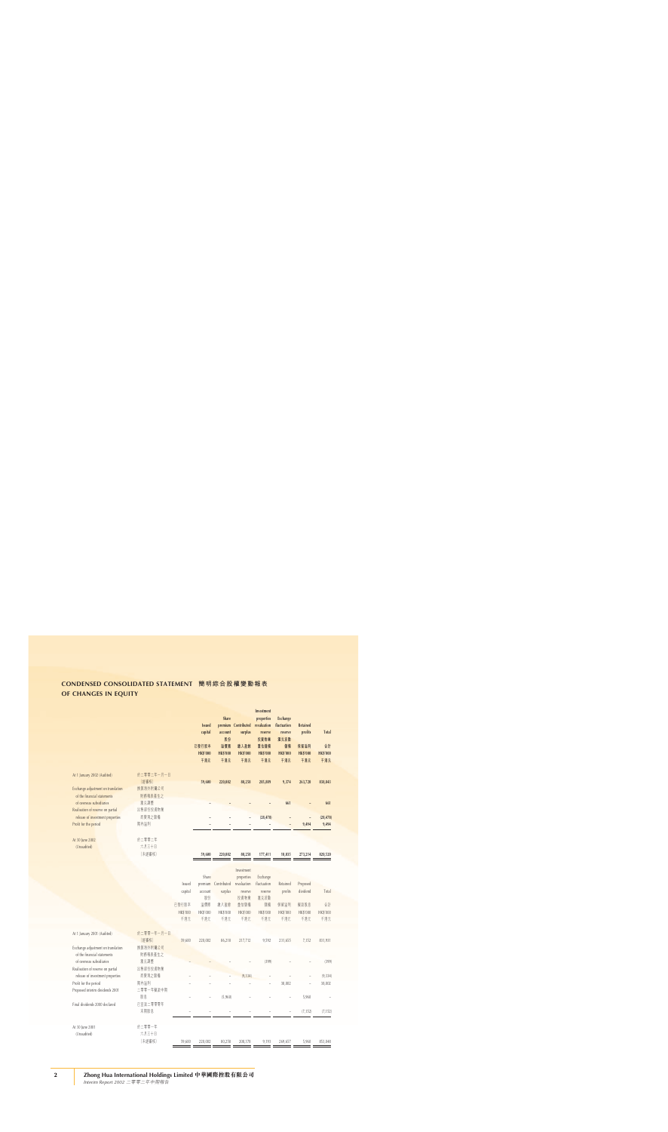# **CONDENSED CONSOLIDATED STATEMENT 簡明綜合股權變動報表 OF CHANGES IN EQUITY**

|                                    |            |                 |                 |                 |                     | Investment      |                 |                 |                 |
|------------------------------------|------------|-----------------|-----------------|-----------------|---------------------|-----------------|-----------------|-----------------|-----------------|
|                                    |            |                 |                 | Share           |                     | properties      | <b>Exchange</b> |                 |                 |
|                                    |            |                 | <b>Issued</b>   |                 | premium Contributed | revaluation     | fluctuation     | <b>Retained</b> |                 |
|                                    |            |                 | capital         | account         | surplus             | reserve         | reserve         | profits         | <b>Total</b>    |
|                                    |            |                 |                 | 股份              |                     | 投資物業            | 滙兑波動            |                 |                 |
|                                    |            |                 | 已發行股本           | 溢價賬             | 缴入盈餘                | 重估儲備            | 儲備              | 保留溢利            | 合計              |
|                                    |            |                 | <b>HK\$'000</b> | <b>HK\$'000</b> | <b>HK\$'000</b>     | <b>HK\$'000</b> | <b>HK\$'000</b> | <b>HK\$'000</b> | <b>HK\$'000</b> |
|                                    |            |                 | 千港元             | 千港元             | 千港元                 | 千港元             | 千港元             | 千港元             | 千港元             |
|                                    |            |                 |                 |                 |                     |                 |                 |                 |                 |
| At 1 January 2002 (Audited)        | 於二零零二年一月一日 |                 |                 |                 |                     |                 |                 |                 |                 |
|                                    | (經審核)      |                 | 59,600          | 220,002         | 80,258              | 205,889         | 9,374           | 263,720         | 838,843         |
| Exchange adjustment on translation | 換算海外附屬公司   |                 |                 |                 |                     |                 |                 |                 |                 |
| of the financial statements        | 財務報表產生之    |                 |                 |                 |                     |                 |                 |                 |                 |
|                                    |            |                 |                 |                 |                     |                 |                 |                 |                 |
| of overseas subsidiaries           | 滙兑調整       |                 |                 |                 |                     |                 | 661             |                 | 661             |
| Realisation of reserve on partial  | 出售部份投資物業   |                 |                 |                 |                     |                 |                 |                 |                 |
| release of investment properties   | 而變現之儲備     |                 |                 |                 |                     | (28, 478)       |                 |                 | (28, 478)       |
| Profit for the period              | 期內溢利       |                 |                 |                 |                     |                 |                 | 9,494           | 9,494           |
|                                    |            |                 |                 |                 |                     |                 |                 |                 |                 |
| At 30 June 2002                    | 於二零零二年     |                 |                 |                 |                     |                 |                 |                 |                 |
| (Unaudited)                        | 六月三十日      |                 |                 |                 |                     |                 |                 |                 |                 |
|                                    | (未經審核)     |                 | 59,600          | 220,002         | 80,258              | 177,411         | 10,035          | 273,214         | 820,520         |
|                                    |            |                 |                 |                 |                     |                 |                 |                 |                 |
|                                    |            |                 |                 |                 |                     |                 |                 |                 |                 |
|                                    |            |                 |                 |                 | Investment          |                 |                 |                 |                 |
|                                    |            |                 | Share           |                 | properties          | Exchange        |                 |                 |                 |
|                                    |            | Issued          | premium         | Contributed     | revaluation         | fluctuation     | Retained        | Proposed        |                 |
|                                    |            | capital         | account         | surplus         | reserve             | reserve         | profits         | dividend        | Total           |
|                                    |            |                 | 股份              |                 | 投資物業                | 滙兑波動            |                 |                 |                 |
|                                    |            | 已發行股本           | 溢價賬             | 缴入盈餘            | 重估儲備                | 儲備              | 保留溢利            | 擬派股息            | 合計              |
|                                    |            | <b>HK\$'000</b> | HK\$'000        | <b>HK\$'000</b> | HK\$'000            | HK\$'000        | <b>HK\$'000</b> | <b>HK\$'000</b> | <b>HK\$'000</b> |
|                                    |            | 千港元             | 千港元             | 千港元             | 千港元                 | 千港元             | 千港元             | 千港元             | 千港元             |
|                                    |            |                 |                 |                 |                     |                 |                 |                 |                 |
| At 1 January 2001 (Audited)        | 於二零零一年一月一日 |                 |                 |                 |                     |                 |                 |                 |                 |
|                                    | (經審核)      | 59,600          | 220,002         | 86,218          | 217,712             | 9,592           | 231,655         | 7,152           | 831,931         |
| Exchange adjustment on translation | 換算海外附屬公司   |                 |                 |                 |                     |                 |                 |                 |                 |
| of the financial statements        | 財務報表產生之    |                 |                 |                 |                     |                 |                 |                 |                 |
| of overseas subsidiaries           |            |                 |                 |                 |                     |                 |                 |                 |                 |
|                                    | 滙兑調整       |                 |                 |                 |                     | (399)           |                 |                 | (399)           |
| Realisation of reserve on partial  | 出售部份投資物業   |                 |                 |                 |                     |                 |                 |                 |                 |
| release of investment properties   | 而變現之儲備     |                 |                 |                 | (9, 334)            |                 |                 |                 | (9, 334)        |
| Profit for the period              | 期內溢利       |                 |                 |                 |                     |                 | 38,002          |                 | 38,002          |
| Proposed interim dividends 2001    | 二零零一年擬派中期  |                 |                 |                 |                     |                 |                 |                 |                 |
|                                    | 股息         |                 |                 | (5,960)         |                     |                 |                 | 5,960           |                 |
| Final dividends 2000 declared      | 已宣派二零零零年   |                 |                 |                 |                     |                 |                 |                 |                 |
|                                    | 末期股息       |                 |                 |                 |                     |                 |                 | (7, 152)        | (7, 152)        |
|                                    |            |                 |                 |                 |                     |                 |                 |                 |                 |
| At 30 June 2001                    | 於二零零一年     |                 |                 |                 |                     |                 |                 |                 |                 |
| (Unaudited)                        | 六月三十日      |                 |                 |                 |                     |                 |                 |                 |                 |
|                                    | (未經審核)     | 59,600          | 220,002         | 80,258          | 208,378             | 9,193           | 269,657         | 5,960           | 853,048         |
|                                    |            |                 |                 |                 |                     |                 |                 |                 |                 |

*Interim Report 2002* 二零零二年中期報告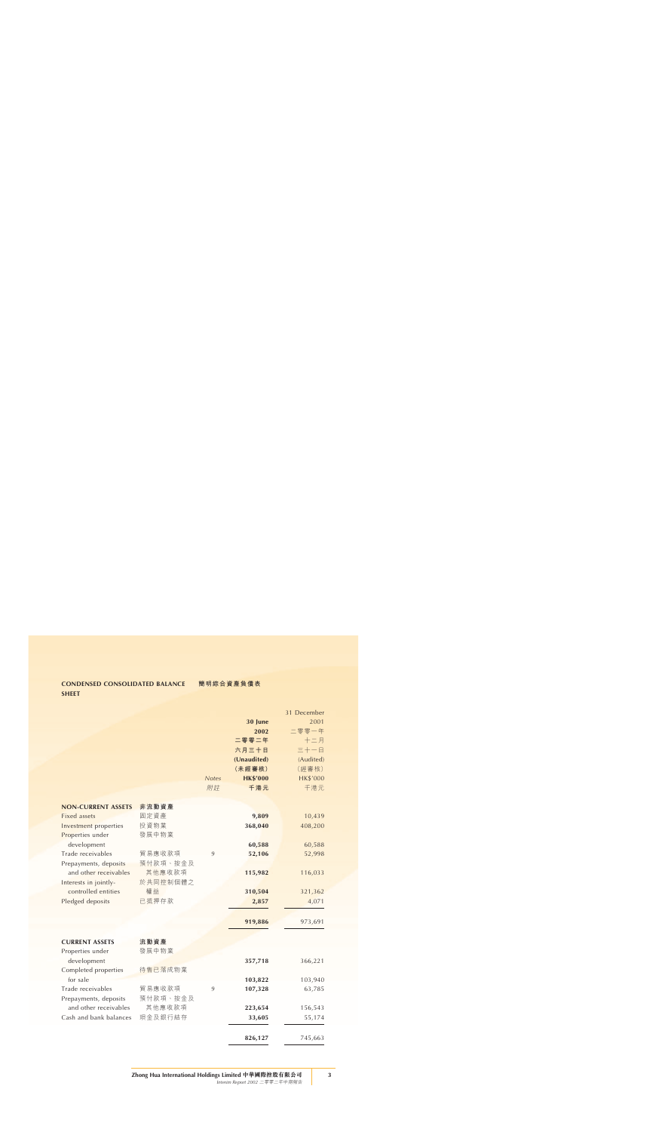# **CONDENSED CONSOLIDATED BALANCE SHEET**

|                              |          |              |                 | 31 December     |
|------------------------------|----------|--------------|-----------------|-----------------|
|                              |          |              | 30 June         | 2001            |
|                              |          |              | 2002            | 二零零一年           |
|                              |          |              | 二零零二年           | 十二月             |
|                              |          |              | 六月三十日           | 三十一日            |
|                              |          |              | (Unaudited)     | (Audited)       |
|                              |          |              | (未經審核)          | (經審核)           |
|                              |          | <b>Notes</b> | <b>HK\$'000</b> | <b>HK\$'000</b> |
|                              |          | 附註           | 千港元             | 千港元             |
|                              |          |              |                 |                 |
| <b>NON-CURRENT ASSETS</b>    | 非流動資產    |              |                 |                 |
| <b>Fixed assets</b>          | 固定資產     |              | 9,809           | 10,439          |
| <b>Investment</b> properties | 投資物業     |              | 368,040         | 408,200         |
| Properties under             | 發展中物業    |              |                 |                 |
| development                  |          |              | 60,588          | 60,588          |
| Trade receivables            | 貿易應收款項   | 9            | 52,106          | 52,998          |
| Prepayments, deposits        | 預付款項、按金及 |              |                 |                 |
| and other receivables        | 其他應收款項   |              | 115,982         | 116,033         |
| Interests in jointly-        | 於共同控制個體之 |              |                 |                 |
| controlled entities          | 權益       |              | 310,504         | 321,362         |
| Pledged deposits             | 已抵押存款    |              | 2,857           | 4,071           |
|                              |          |              |                 |                 |
|                              |          |              | 919,886         | 973,691         |
|                              |          |              |                 |                 |
| <b>CURRENT ASSETS</b>        | 流動資產     |              |                 |                 |
| Properties under             | 發展中物業    |              |                 |                 |
| development                  |          |              | 357,718         | 366,221         |
| Completed properties         | 待售已落成物業  |              |                 |                 |
| for sale                     |          |              | 103,822         | 103,940         |
| Trade receivables            | 貿易應收款項   | 9            | 107,328         | 63,785          |
| Prepayments, deposits        | 預付款項、按金及 |              |                 |                 |
| and other receivables        | 其他應收款項   |              | 223,654         | 156,543         |
| Cash and bank balances       | 現金及銀行結存  |              | 33,605          | 55,174          |
|                              |          |              |                 |                 |
|                              |          |              |                 | 745,663         |
|                              |          |              | 826,127         |                 |

### **Zhong Hua International Holdings Limited 中華國際控股有限公司** *Interim Report 2002* 二零零二年中期報告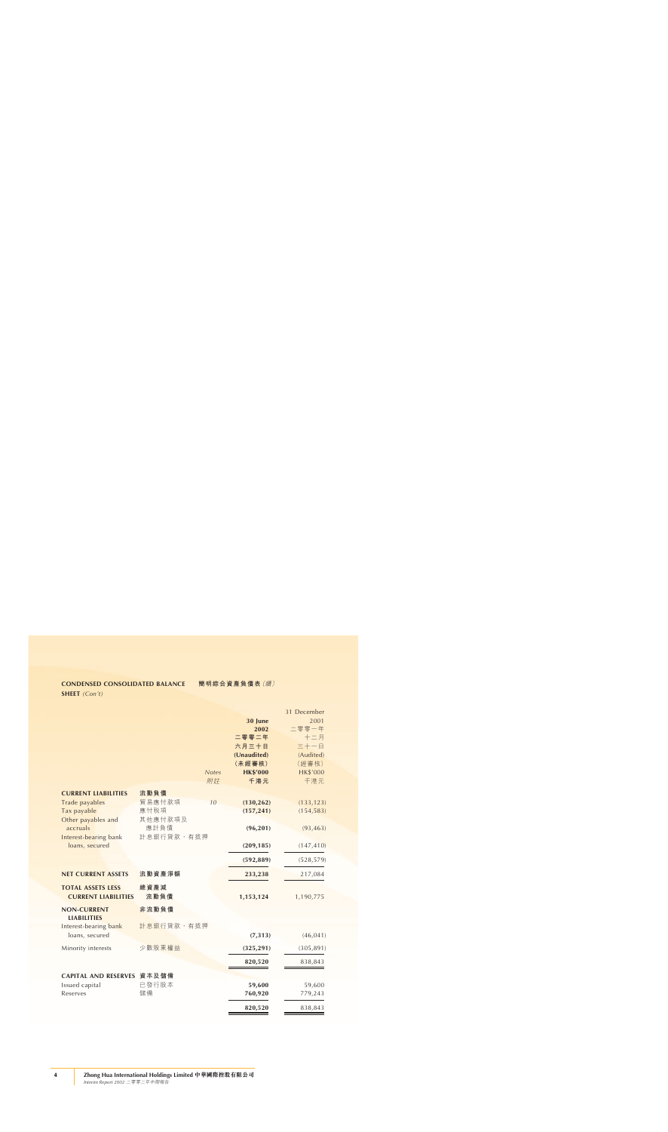### **CONDENSED CONSOLIDATED BALANCE**

**SHEET** *(Con't)*

|                                                        |              |              |                 | 31 December     |
|--------------------------------------------------------|--------------|--------------|-----------------|-----------------|
|                                                        |              |              | 30 June         | 2001            |
|                                                        |              |              | 2002            | 二零零一年           |
|                                                        |              |              | 二零零二年           | 十二月             |
|                                                        |              |              | 六月三十日           | 三十一日            |
|                                                        |              |              | (Unaudited)     | (Audited)       |
|                                                        |              |              | (未經審核)          | (經審核)           |
|                                                        |              | <b>Notes</b> | <b>HK\$'000</b> | <b>HK\$'000</b> |
|                                                        |              | 附註           | 千港元             | 千港元             |
| <b>CURRENT LIABILITIES</b>                             | 流動負債         |              |                 |                 |
|                                                        | 貿易應付款項       | 10           |                 |                 |
| Trade payables                                         |              |              | (130, 262)      | (133, 123)      |
| Tax payable                                            | 應付税項         |              | (157, 241)      | (154, 583)      |
| Other payables and                                     | 其他應付款項及      |              |                 |                 |
| accruals                                               | 應計負債         |              | (96, 201)       | (93, 463)       |
| Interest-bearing bank                                  | 計息銀行貸款,有抵押   |              |                 |                 |
| loans, secured                                         |              |              | (209, 185)      | (147, 410)      |
|                                                        |              |              | (592, 889)      | (528, 579)      |
| <b>NET CURRENT ASSETS</b>                              | 流動資產淨額       |              | 233,238         | 217,084         |
| <b>TOTAL ASSETS LESS</b><br><b>CURRENT LIABILITIES</b> | 總資產減<br>流動負債 |              | 1,153,124       | 1,190,775       |
| <b>NON-CURRENT</b>                                     | 非流動負債        |              |                 |                 |
| <b>LIABILITIES</b>                                     |              |              |                 |                 |
| Interest-bearing bank                                  | 計息銀行貸款,有抵押   |              |                 |                 |
| loans, secured                                         |              |              | (7, 313)        | (46, 041)       |
| Minority interests                                     | 少數股東權益       |              | (325, 291)      | (305, 891)      |
|                                                        |              |              | 820,520         | 838,843         |
|                                                        |              |              |                 |                 |
| CAPITAL AND RESERVES 資本及儲備                             |              |              |                 |                 |
| Issued capital                                         | 已發行股本        |              | 59,600          | 59,600          |
| Reserves                                               | 儲備           |              | 760,920         | 779,243         |
|                                                        |              |              | 820,520         | 838,843         |
|                                                        |              |              |                 |                 |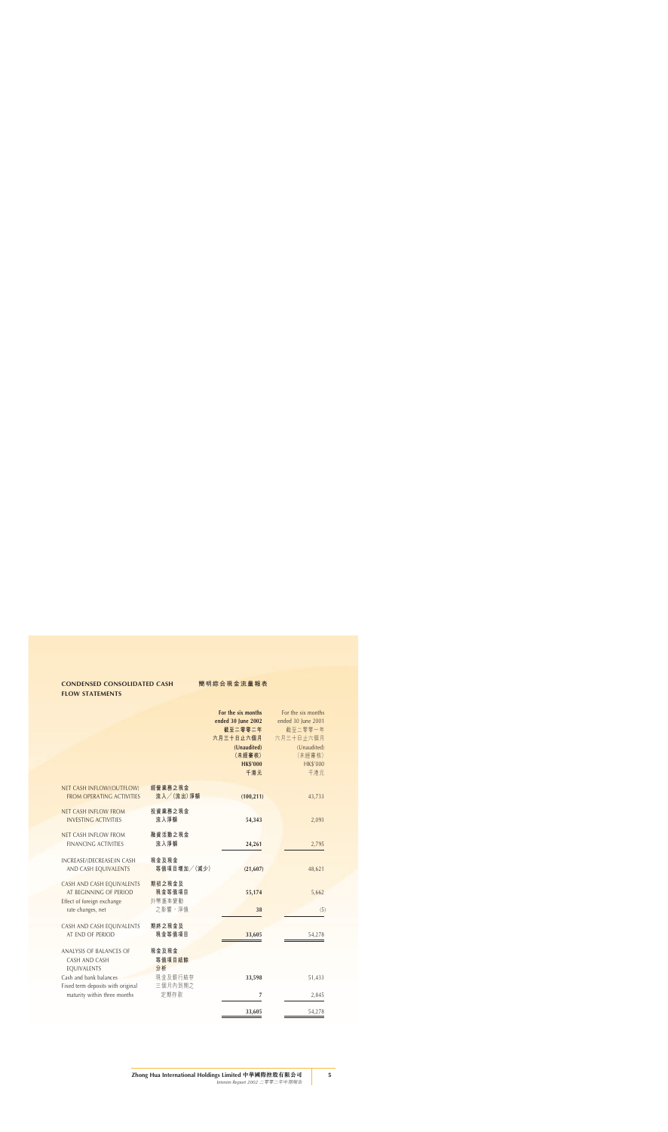# **CONDENSED CONSOLIDATED CASH FLOW STATEMENTS**

|                                                                                   |                            | For the six months<br>ended 30 June 2002<br>截至二零零二年<br>六月三十日止六個月<br>(Unaudited)<br>(未經審核)<br><b>HK\$'000</b><br>千港元 | For the six months<br>ended 30 June 2001<br>截至二零零一年<br>六月三十日止六個月<br>(Unaudited)<br>(未經審核)<br>HK\$'000<br>千港元 |
|-----------------------------------------------------------------------------------|----------------------------|---------------------------------------------------------------------------------------------------------------------|--------------------------------------------------------------------------------------------------------------|
| NET CASH INFLOW/(OUTFLOW)<br><b>FROM OPERATING ACTIVITIES</b>                     | 經營業務之現金<br>流入/(流出)淨額       | (100, 211)                                                                                                          | 43,733                                                                                                       |
| <b>NET CASH INFLOW FROM</b><br><b>INVESTING ACTIVITIES</b>                        | 投資業務之現金<br>流入淨額            | 54,343                                                                                                              | 2,093                                                                                                        |
| <b>NET CASH INFLOW FROM</b><br><b>FINANCING ACTIVITIES</b>                        | 融資活動之現金<br>流入淨額            | 24,261                                                                                                              | 2,795                                                                                                        |
| INCREASE/(DECREASE)IN CASH<br>AND CASH EQUIVALENTS                                | 現金及現金<br>等值項目增加/(減少)       | (21, 607)                                                                                                           | 48,621                                                                                                       |
| CASH AND CASH EQUIVALENTS<br>AT BEGINNING OF PERIOD<br>Effect of foreign exchange | 期初之現金及<br>現金等值項目<br>外幣滙率變動 | 55,174                                                                                                              | 5,662                                                                                                        |
| rate changes, net                                                                 | 之影響, <b>淨值</b>             | 38                                                                                                                  | (5)                                                                                                          |
| CASH AND CASH EQUIVALENTS<br>AT END OF PERIOD                                     | 期終之現金及<br>現金等值項目           | 33,605                                                                                                              | 54,278                                                                                                       |
| ANALYSIS OF BALANCES OF<br>CASH AND CASH<br>EQUIVALENTS                           | 現金及現金<br>等值項目結餘<br>分析      |                                                                                                                     |                                                                                                              |
| Cash and bank balances                                                            | 現金及銀行結存                    | 33,598                                                                                                              | 51,433                                                                                                       |
| Fixed term deposits with original<br>maturity within three months                 | 三個月內到期之<br>定期存款            | 7                                                                                                                   | 2,845                                                                                                        |
|                                                                                   |                            |                                                                                                                     |                                                                                                              |
|                                                                                   |                            | 33,605                                                                                                              | 54,278                                                                                                       |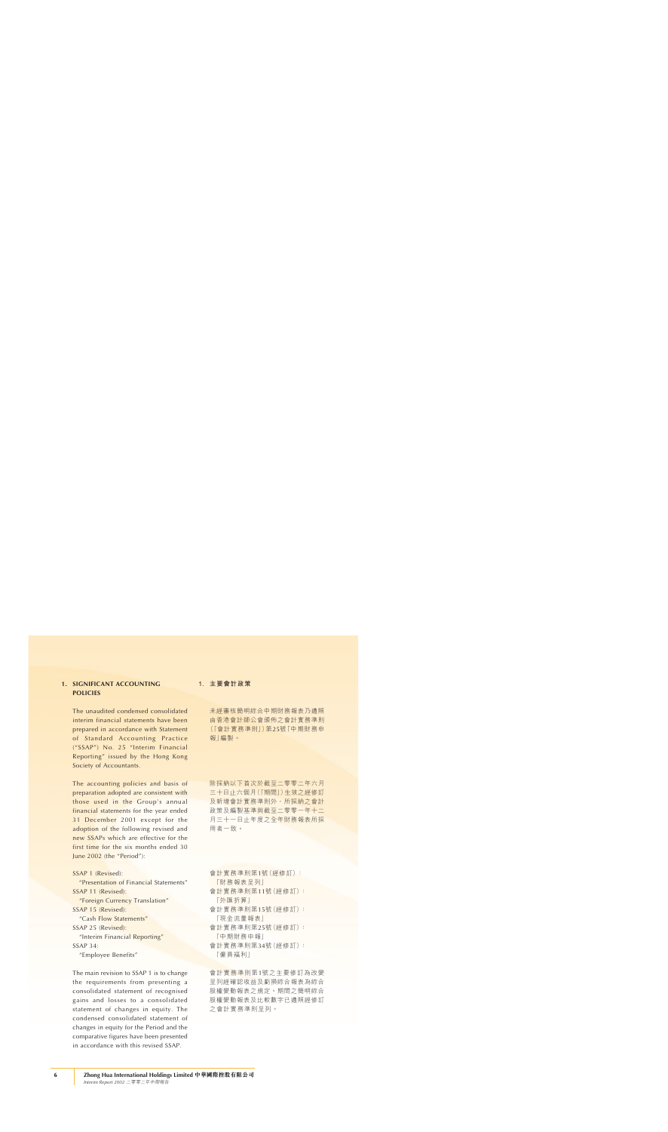# **1. SIGNIFICANT ACCOUNTING POLICIES**

The unaudited condensed consolidated interim financial statements have been prepared in accordance with Statement of Standard Accounting Practice ("SSAP") No. 25 "Interim Financial Reporting" issued by the Hong Kong Society of Accountants.

The accounting policies and basis of preparation adopted are consistent with those used in the Group's annual financial statements for the year ended 31 December 2001 except for the adoption of the following revised and new SSAPs which are effective for the first time for the six months ended 30 June 2002 (the "Period"):

```
SSAP 1 (Revised):
```
"Presentation of Financial Statements" SSAP 11 (Revised):

"Foreign Currency Translation" SSAP 15 (Revised):

"Cash Flow Statements"

SSAP 25 (Revised):

"Interim Financial Reporting" SSAP 34:

"Employee Benefits"

The main revision to SSAP 1 is to change the requirements from presenting a consolidated statement of recognised gains and losses to a consolidated statement of changes in equity. The condensed consolidated statement of changes in equity for the Period and the comparative figures have been presented in accordance with this revised SSAP.

### **1. 主要會計政策**

未經審核簡明綜合中期財務報表乃遵照 由香港會計師公會頒佈之會計實務準則 (「會計實務準則」)第25號「中期財務申 報」編製。

除採納以下首次於截至二零零二年六月 三十日止六個月(「期間」)生效之經修訂 及新增會計實務準則外,所採納之會計 政策及編製基準與截至二零零一年十二 月三十一日止年度之全年財務報表所採 用者一致。

- 會計實務準則第1號(經修訂): 「財務報表呈列」
- 會計實務準則第11號(經修訂): 「外匯折算」
- 會計實務準則第15號(經修訂): 「現金流量報表」
- 會計實務準則第25號(經修訂): 「中期財務申報」
- 會計實務準則第34號(經修訂): 「僱員褔利」

會計實務準則第1號之主要修訂為改變 呈列經確認收益及虧損綜合報表為綜合 股權變動報表之規定。期間之簡明綜合 股權變動報表及比較數字已遵照經修訂 之會計實務準則呈列。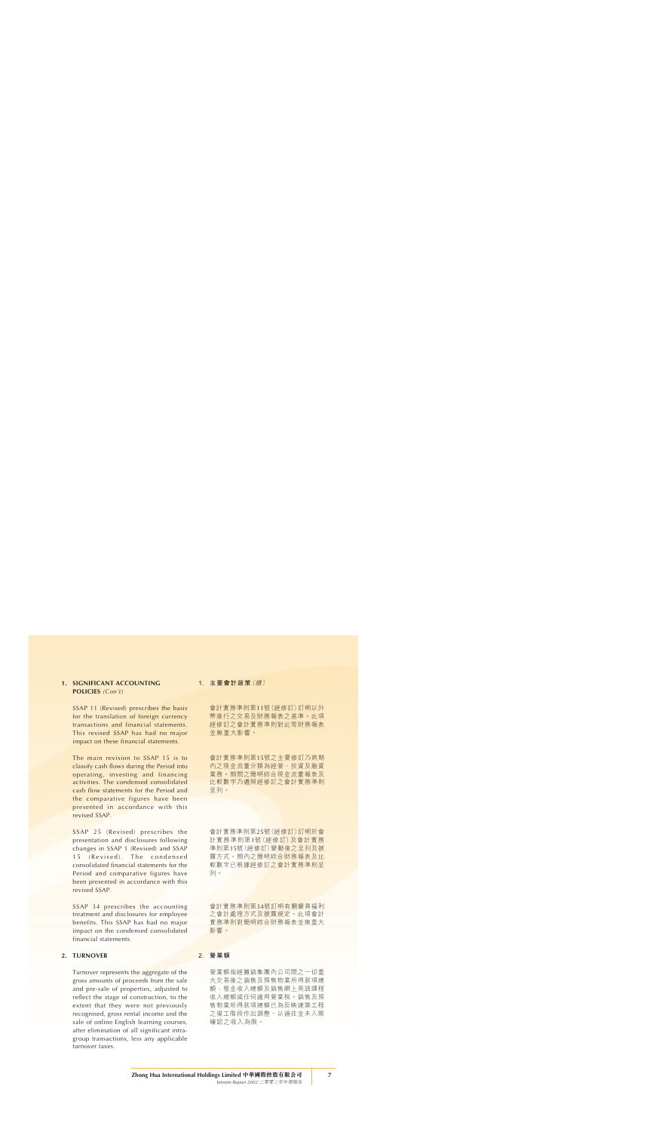### **1. SIGNIFICANT ACCOUNTING POLICIES** *(Con't)*

SSAP 11 (Revised) prescribes the basis for the translation of foreign currency transactions and financial statements. This revised SSAP has had no major impact on these financial statements.

The main revision to SSAP 15 is to classify cash flows during the Period into operating, investing and financing activities. The condensed consolidated cash flow statements for the Period and the comparative figures have been presented in accordance with this revised SSAP.

SSAP 25 (Revised) prescribes the presentation and disclosures following changes in SSAP 1 (Revised) and SSAP 15 (Revised). The condensed consolidated financial statements for the Period and comparative figures have been presented in accordance with this revised SSAP.

SSAP 34 prescribes the accounting treatment and disclosures for employee benefits. This SSAP has had no major impact on the condensed consolidated financial statements.

### **2. TURNOVER**

Turnover represents the aggregate of the gross amounts of proceeds from the sale and pre-sale of properties, adjusted to reflect the stage of construction, to the extent that they were not previously recognised, gross rental income and the sale of online English learning courses, after elimination of all significant intragroup transactions, less any applicable turnover taxes.

### **1. 主要會計政策**(續)

會計實務準則第11號(經修訂)訂明以外 幣進行之交易及財務報表之基準。此項 經修訂之會計實務準則對此等財務報表 並無重大影響。

會計實務準則第15號之主要修訂乃將期 內之現金流量分類為經營、投資及融資 業務。期間之簡明綜合現金流量報表及 比較數字乃遵照經修訂之會計實務準則 呈列。

會計實務準則第25號(經修訂)訂明於會 計實務準則第1號(經修訂)及會計實務 準則第15號(經修訂)變動後之呈列及披 露方式。期內之簡明綜合財務報表及比 較數字已根據經修訂之會計實務準則呈 列。

會計實務準則第34號訂明有關僱員褔利 之會計處理方式及披露規定。此項會計 實務準則對簡明綜合財務報表並無重大 影響。

### **2. 營業額**

營業額指經撇銷集團內公司間之一切重 大交易後之銷售及預售物業所得款項總 額、租金收入總額及銷售網上英語課程 收入總額減任何適用營業稅。銷售及預 售物業所得款項總額已為反映建築工程 之竣工階段作出調整,以過往並未入賬 確認之收入為限。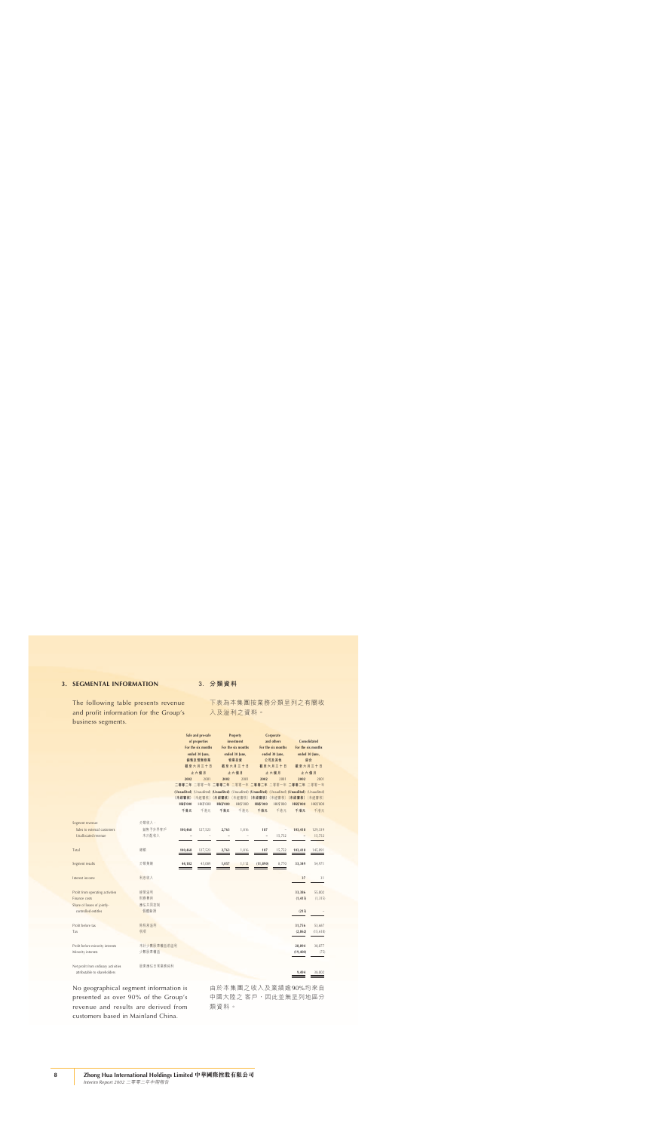### **3. SEGMENTAL INFORMATION**

The following table presents revenue and profit information for the Group's business segments.

### **3. 分類資料**

下表為本集團按業務分類呈列之有關收 入及溢利之資料。

|                                     |             |                 | Sale and pre-sale  |                 | Property           |                 | Corporate          |                                                                                                 |                    |
|-------------------------------------|-------------|-----------------|--------------------|-----------------|--------------------|-----------------|--------------------|-------------------------------------------------------------------------------------------------|--------------------|
|                                     |             |                 | of properties      |                 | investment         |                 | and others         |                                                                                                 | Consolidated       |
|                                     |             |                 | For the six months |                 | For the six months |                 | For the six months |                                                                                                 | For the six months |
|                                     |             |                 | ended 30 June,     |                 | ended 30 June,     |                 | ended 30 June,     |                                                                                                 | ended 30 June,     |
|                                     |             |                 | 銷售及預售物業            |                 | 物業投資               |                 | 公司及其他              |                                                                                                 | 綜合                 |
|                                     |             |                 | 截至六月三十日            |                 | 截至六月三十日            |                 | 截至六月三十日            |                                                                                                 | 截至六月三十日            |
|                                     |             |                 | 止六個月               |                 | 止六個月               |                 | 止六個月               |                                                                                                 | 止六個月               |
|                                     |             | 2002            | 2001               | 2002            | 2001               | 2002            | 2001               | 2002                                                                                            | 2001               |
|                                     |             |                 |                    |                 |                    |                 |                    | 二零零二年 二零零一年 二零零二年 二零零一年 二零零二年 二零零一年 二零零二年 二零零一年                                                 |                    |
|                                     |             |                 |                    |                 |                    |                 |                    | (Unaudited) (Unaudited) (Unaudited) (Unaudited) (Unaudited) (Unaudited) (Unaudited) (Unaudited) |                    |
|                                     |             |                 |                    |                 |                    |                 |                    | (未經審核)(未經審核)(未經審核)(未經審核)(未經審核)(未經審核)(未經審核)(未經審核)                                                |                    |
|                                     |             | <b>HK\$'000</b> | HK\$'000           | <b>HK\$'000</b> | <b>HK\$'000</b>    | <b>HK\$'000</b> | <b>HK\$'000</b>    | <b>HK\$'000</b>                                                                                 | <b>HK\$'000</b>    |
|                                     |             | 千港元             | 千港元                | 千港元             | 千港元                | 千港元             | 千港元                | 千港元                                                                                             | 千港元                |
|                                     |             |                 |                    |                 |                    |                 |                    |                                                                                                 |                    |
| Segment revenue:                    | 分類收入:       |                 |                    |                 |                    |                 |                    |                                                                                                 |                    |
| Sales to external customers         | 銷售予外界客戶     | 100,468         | 127,523            | 2,763           | 1,816              | 187             |                    | 103,418                                                                                         | 129,339            |
| Unallocated revenue                 | 未分配收入       |                 |                    |                 |                    | i.              | 15,752             |                                                                                                 | 15,752             |
|                                     |             |                 |                    |                 |                    |                 |                    |                                                                                                 |                    |
| Total                               | 總額          | 100,468         | 127,523            | 2,763           | 1,816              | 187             | 15,752             | 103,418                                                                                         | 145,091            |
|                                     |             |                 |                    |                 |                    |                 |                    |                                                                                                 |                    |
| Segment results                     | 分類業績        | 44,182          | 45,089             | 1,057           | 1,112              | (11,890)        | 8,770              | 33,349                                                                                          | 54,971             |
|                                     |             |                 |                    |                 |                    |                 |                    |                                                                                                 |                    |
| Interest income                     | 利息收入        |                 |                    |                 |                    |                 |                    |                                                                                                 |                    |
|                                     |             |                 |                    |                 |                    |                 |                    | 37                                                                                              | 31                 |
|                                     |             |                 |                    |                 |                    |                 |                    |                                                                                                 |                    |
| Profit from operating activities    | 經營溢利        |                 |                    |                 |                    |                 |                    | 33,386                                                                                          | 55,002             |
| Finance costs                       | 財務費用        |                 |                    |                 |                    |                 |                    | (1, 415)                                                                                        | (1, 315)           |
| Share of losses of jointly-         | 應佔共同控制      |                 |                    |                 |                    |                 |                    |                                                                                                 |                    |
| controlled entitles                 | 個體虧損        |                 |                    |                 |                    |                 |                    | (215)                                                                                           |                    |
|                                     |             |                 |                    |                 |                    |                 |                    |                                                                                                 |                    |
| Profit before tax                   | 除税前溢利       |                 |                    |                 |                    |                 |                    | 31,756                                                                                          | 53,687             |
| Tax                                 | 税項          |                 |                    |                 |                    |                 |                    | (2,862)                                                                                         | (15, 610)          |
|                                     |             |                 |                    |                 |                    |                 |                    |                                                                                                 |                    |
| Profit before minority interests    | 未計少數股東權益前溢利 |                 |                    |                 |                    |                 |                    | 28,894                                                                                          | 38,077             |
| Minority interests                  | 少數股東權益      |                 |                    |                 |                    |                 |                    | (19, 400)                                                                                       | (75)               |
|                                     |             |                 |                    |                 |                    |                 |                    |                                                                                                 |                    |
|                                     |             |                 |                    |                 |                    |                 |                    |                                                                                                 |                    |
| Net profit from ordinary activities | 股東應佔日常業務純利  |                 |                    |                 |                    |                 |                    |                                                                                                 |                    |
| attributable to shareholders        |             |                 |                    |                 |                    |                 |                    | 9,494                                                                                           | 38,002             |

No geographical segment information is presented as over 90% of the Group's revenue and results are derived from customers based in Mainland China.

由於本集團之收入及業績逾90%均來自 中國大陸之 客戶,因此並無呈列地區分 類資料。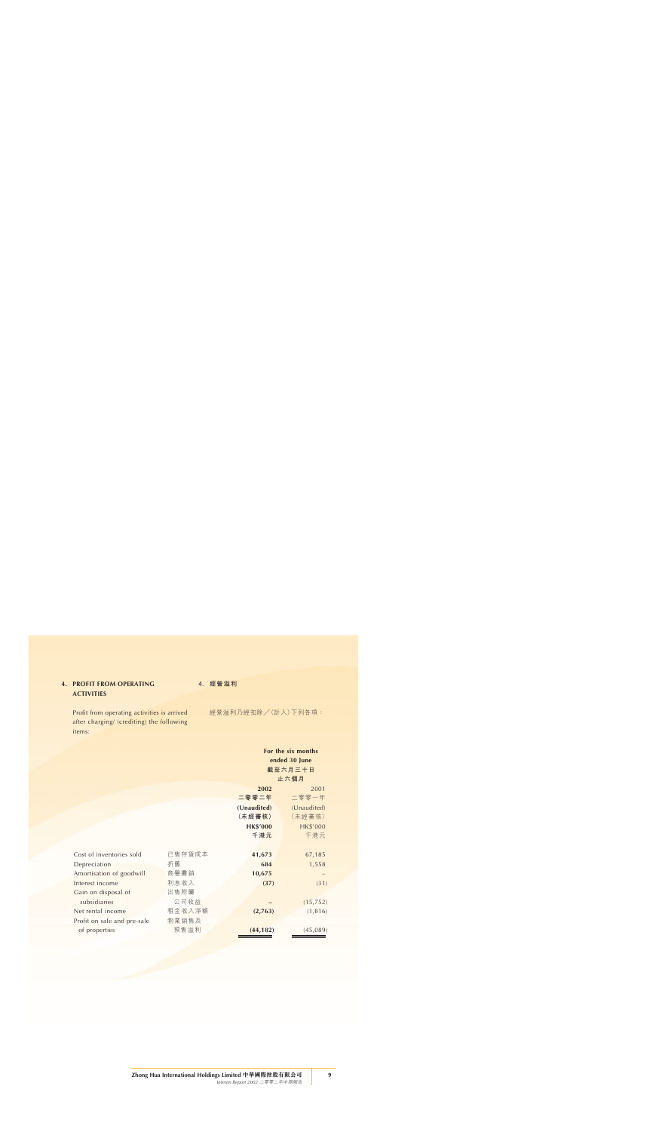# **4. PROFIT FROM OPERATING ACTIVITIES**

Profit from operating activities is arrived after charging/ (crediting) the following items:

**4. 經營溢利**

經營溢利乃經扣除/(計入)下列各項:

|                             |        | For the six months<br>ended 30 June |                 |  |
|-----------------------------|--------|-------------------------------------|-----------------|--|
|                             |        |                                     | 截至六月三十日         |  |
|                             |        |                                     | 止六個月            |  |
|                             |        | 2002                                | 2001            |  |
|                             |        | 二零零二年                               | 二零零一年           |  |
|                             |        | (Unaudited)                         | (Unaudited)     |  |
|                             |        | (未經審核)                              | (未經審核)          |  |
|                             |        | <b>HK\$'000</b>                     | <b>HK\$'000</b> |  |
|                             |        | 千港元                                 | 千港元             |  |
|                             |        |                                     |                 |  |
| Cost of inventories sold    | 已售存貨成本 | 41,673                              | 67,185          |  |
| Depreciation                | 折舊     | 684                                 | 1,558           |  |
| Amortisation of goodwill    | 商譽攤銷   | 10,675                              |                 |  |
| Interest income             | 利息收入   | (37)                                | (31)            |  |
| Gain on disposal of         | 出售附屬   |                                     |                 |  |
| subsidiaries                | 公司收益   |                                     | (15, 752)       |  |
| Net rental income           | 租金收入淨額 | (2,763)                             | (1, 816)        |  |
| Profit on sale and pre-sale | 物業銷售及  |                                     |                 |  |
| of properties               | 預售溢利   | (44, 182)                           | (45,089)        |  |
|                             |        |                                     |                 |  |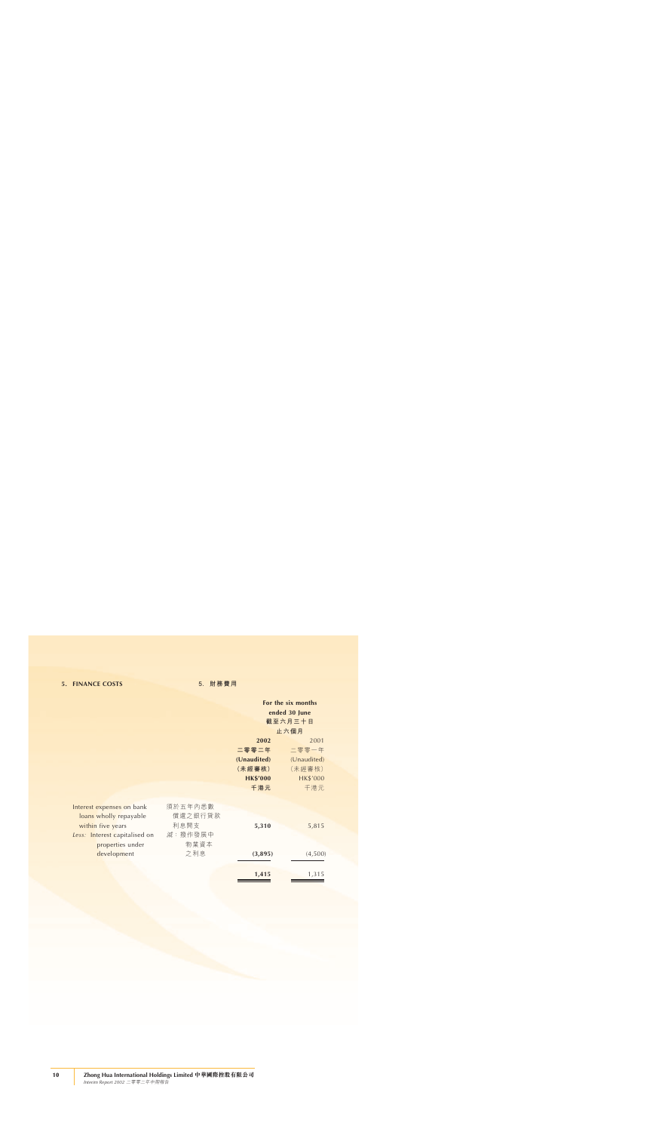# **5. FINANCE COSTS 5. 財務費用**

|                               |                 | For the six months |                 |  |
|-------------------------------|-----------------|--------------------|-----------------|--|
|                               |                 | ended 30 June      |                 |  |
|                               |                 |                    | 截至六月三十日         |  |
|                               |                 |                    | 止六個月            |  |
|                               |                 | 2002               | 2001            |  |
|                               |                 | 二零零二年              | 二零零一年           |  |
|                               |                 | (Unaudited)        | (Unaudited)     |  |
|                               |                 | (未經審核)             | (未經審核)          |  |
|                               |                 | <b>HK\$'000</b>    | <b>HK\$'000</b> |  |
|                               |                 | 千港元                | 千港元             |  |
|                               |                 |                    |                 |  |
| Interest expenses on bank     | 須於五年內悉數         |                    |                 |  |
| loans wholly repayable        | 償還之銀行貸款         |                    |                 |  |
| within five years             | 利息開支            | 5,310              | 5,815           |  |
| Less: Interest capitalised on | <i>減</i> :撥作發展中 |                    |                 |  |
| properties under              | 物業資本            |                    |                 |  |
| development                   | 之利息             | (3,895)            | (4,500)         |  |
|                               |                 |                    |                 |  |
|                               |                 | 1,415              | 1,315           |  |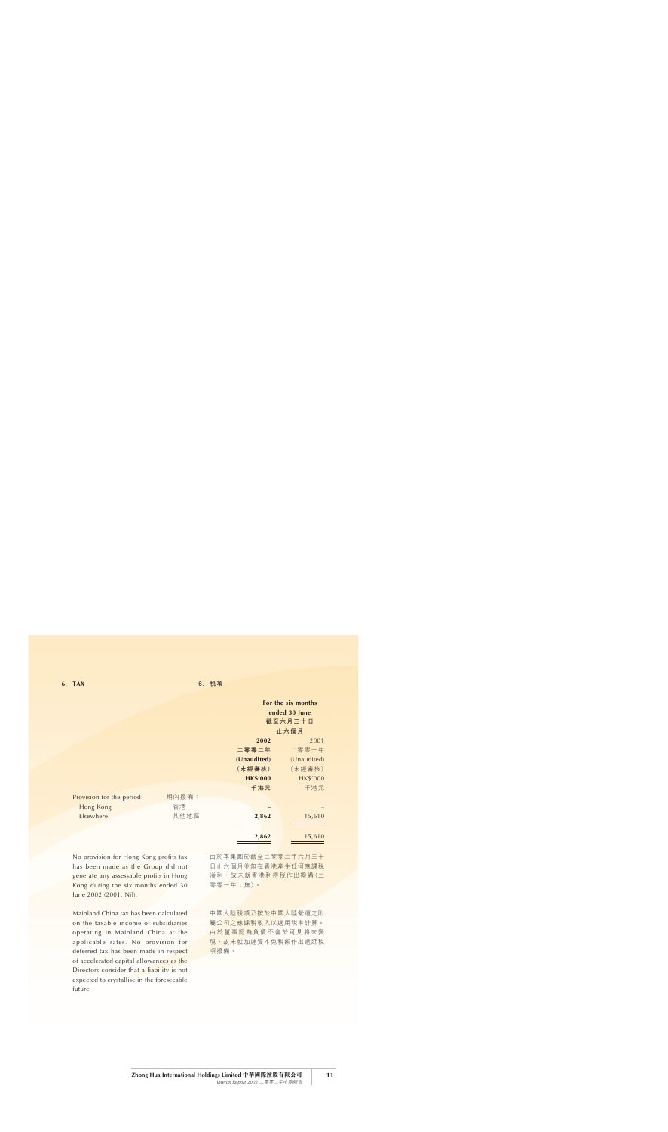|                           |       |                 | For the six months |
|---------------------------|-------|-----------------|--------------------|
|                           |       |                 | ended 30 June      |
|                           |       |                 | 截至六月三十日            |
|                           |       |                 | 止六個月               |
|                           |       | 2002            | 2001               |
|                           |       | 二零零二年           | 二零零一年              |
|                           |       | (Unaudited)     | (Unaudited)        |
|                           |       | (未經審核)          | (未經審核)             |
|                           |       | <b>HK\$'000</b> | <b>HK\$'000</b>    |
|                           |       | 千港元             | 千港元                |
| Provision for the period: | 期內撥備: |                 |                    |
| Hong Kong                 | 香港    |                 |                    |
| Elsewhere                 | 其他地區  | 2,862           | 15,610             |
|                           |       |                 |                    |
|                           |       | 2,862           | 15,610             |

No provision for Hong Kong profits tax has been made as the Group did not generate any assessable profits in Hong Kong during the six months ended 30 June 2002 (2001: Nil).

Mainland China tax has been calculated on the taxable income of subsidiaries operating in Mainland China at the applicable rates. No provision for deferred tax has been made in respect of accelerated capital allowances as the Directors consider that a liability is not expected to crystallise in the foreseeable future.

由於本集團於截至二零零二年六月三十 日止六個月並無在香港產生任何應課税 溢利,故未就香港利得稅作出撥備(二 零零一年:無)。

中國大陸税項乃按於中國大陸營運之附 屬公司之應課稅收入以適用稅率計算。 由於董事認為負債不會於可見將來變 現,故未就加速資本免税額作出遞延税 項撥備。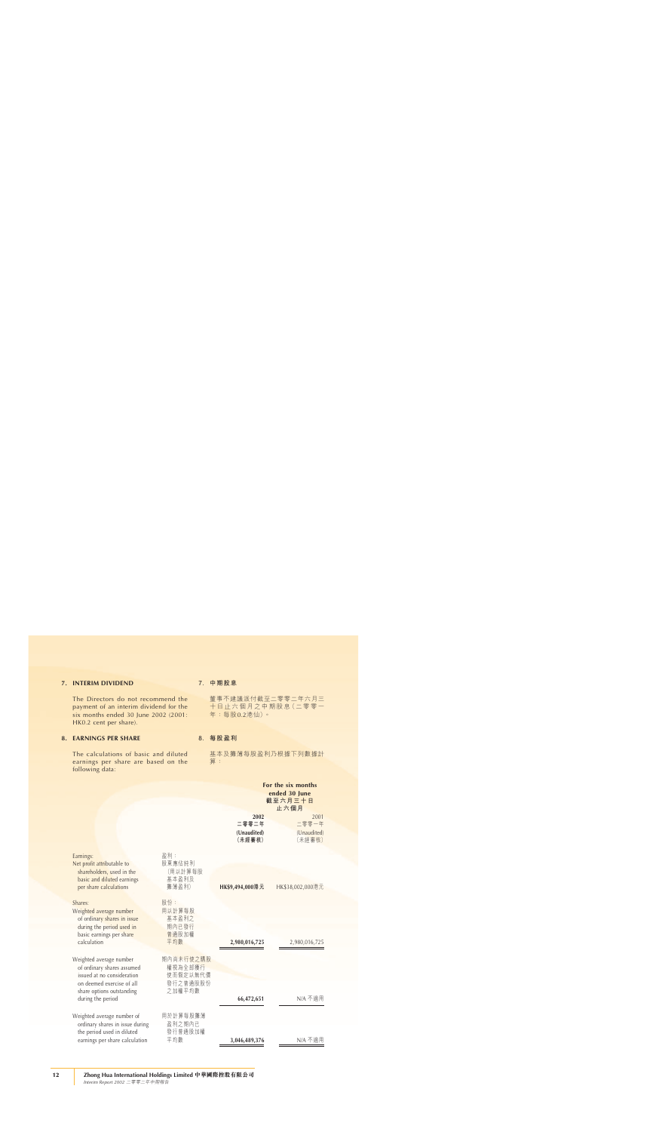### **7. INTERIM DIVIDEND**

The Directors do not recommend the payment of an interim dividend for the six months ended 30 June 2002 (2001: HK0.2 cent per share).

# **8. EARNINGS PER SHARE**

The calculations of basic and diluted earnings per share are based on the following data:

### **7. 中期股息**

董事不建議派付截至二零零二年六月三 十日止六個月之中期股息(二零零一 年:每股0.2港仙)。

### **8. 每股盈利**

基本及攤薄每股盈利乃根據下列數據計 算:

**For the six months**

|                                                                                                                                               |                                                        |                                        | ended 30 June<br>截至六月三十日<br>止六個月       |
|-----------------------------------------------------------------------------------------------------------------------------------------------|--------------------------------------------------------|----------------------------------------|----------------------------------------|
|                                                                                                                                               |                                                        | 2002<br>二零零二年<br>(Unaudited)<br>(未經審核) | 2001<br>二零零一年<br>(Unaudited)<br>(未經審核) |
| Earnings:<br>Net profit attributable to<br>shareholders, used in the<br>basic and diluted earnings                                            | 盈利:<br>股東應佔純利<br>(用以計算每股<br>基本盈利及                      |                                        |                                        |
| per share calculations<br>Shares:<br>Weighted average number                                                                                  | 攤薄盈利)<br>股份:<br>用以計算每股                                 | HK\$9,494,000港元                        | HK\$38,002,000港元                       |
| of ordinary shares in issue<br>during the period used in<br>basic earnings per share<br>calculation                                           | 基本盈利之<br>期內已發行<br>普通股加權<br>平均數                         | 2,980,016,725                          | 2,980,016,725                          |
| Weighted average number<br>of ordinary shares assumed<br>issued at no consideration<br>on deemed exercise of all<br>share options outstanding | 期內尚未行使之購股<br>權視為全部獲行<br>使而假定以無代價<br>發行之普通股股份<br>之加權平均數 |                                        |                                        |
| during the period                                                                                                                             |                                                        | 66,472,651                             | N/A 不適用                                |
| Weighted average number of<br>ordinary shares in issue during                                                                                 | 用於計算每股攤薄<br>盈利之期內已                                     |                                        |                                        |
| the period used in diluted<br>earnings per share calculation                                                                                  | 發行普通股加權<br>平均數                                         | 3,046,489,376                          | N/A 不適用                                |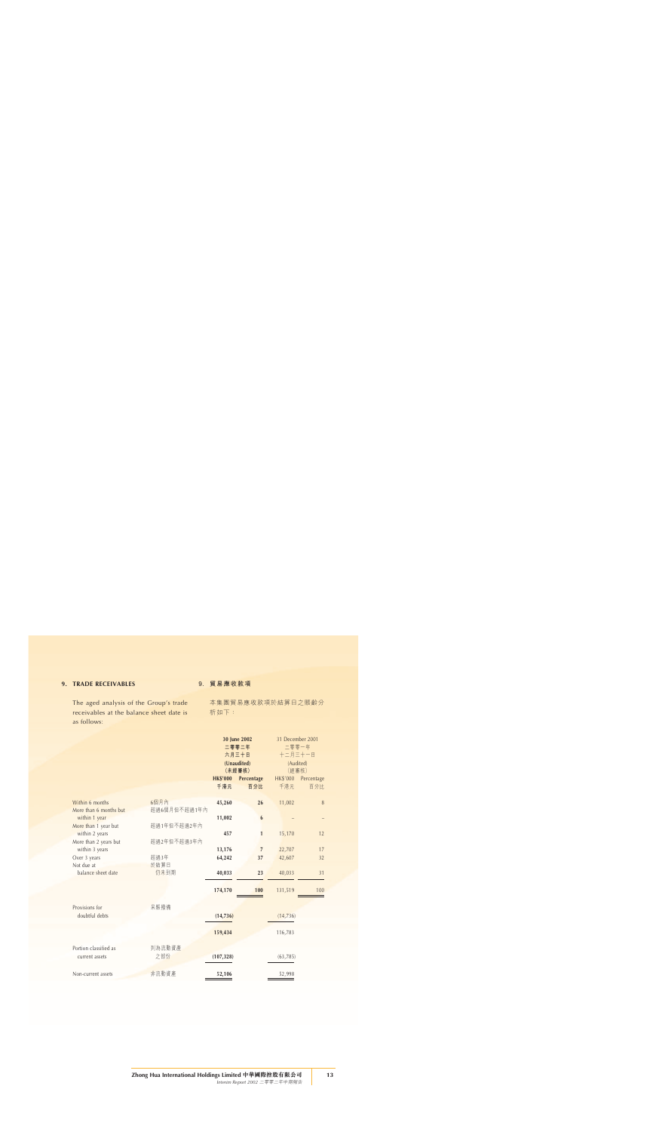# **9. TRADE RECEIVABLES**

The aged analysis of the Group's trade receivables at the balance sheet date is as follows:

### **9. 貿易應收款項**

本集團貿易應收款項於結算日之賬齡分 析如下:

|                            |              | 30 June 2002<br>二零零二年<br>六月三十日 |                       | 31 December 2001<br>二零零一年 |            |
|----------------------------|--------------|--------------------------------|-----------------------|---------------------------|------------|
|                            |              |                                |                       | 十二月三十一日                   |            |
|                            |              |                                | (Unaudited)<br>(未經審核) | (Audited)<br>(經審核)        |            |
|                            |              | <b>HK\$'000</b>                | Percentage            | HK\$'000                  | Percentage |
|                            |              | 千港元                            | 百分比                   | 千港元                       | 百分比        |
| Within 6 months            | 6個月內         | 45,260                         | 26                    | 11,002                    | $\delta$   |
| More than 6 months but     | 超過6個月但不超過1年內 |                                |                       |                           |            |
| within 1 year              |              | 11,002                         | 6                     |                           |            |
| More than 1 year but       | 超過1年但不超過2年內  |                                |                       |                           |            |
| within 2 years             |              | 457                            | $\mathbf{1}$          | 15,170                    | 12         |
| More than 2 years but      | 超過2年但不超過3年內  |                                |                       |                           |            |
| within 3 years             |              | 13,176                         | $\overline{7}$        | 22,707                    | 17         |
| Over 3 years<br>Not due at | 超過3年<br>於結算日 | 64,242                         | 37                    | 42,607                    | 32         |
| balance sheet date         | 仍未到期         | 40,033                         | 23                    | 40,033                    | 31         |
|                            |              |                                |                       |                           |            |
|                            |              | 174,170                        | 100                   | 131,519                   | 100        |
| Provisions for             | 呆賬撥備         |                                |                       |                           |            |
| doubtful debts             |              | (14, 736)                      |                       | (14, 736)                 |            |
|                            |              | 159,434                        |                       | 116,783                   |            |
| Portion classified as      | 列為流動資產       |                                |                       |                           |            |
| current assets             | 之部份          | (107, 328)                     |                       | (63, 785)                 |            |
| Non-current assets         | 非流動資產        | 52,106                         |                       | 52,998                    |            |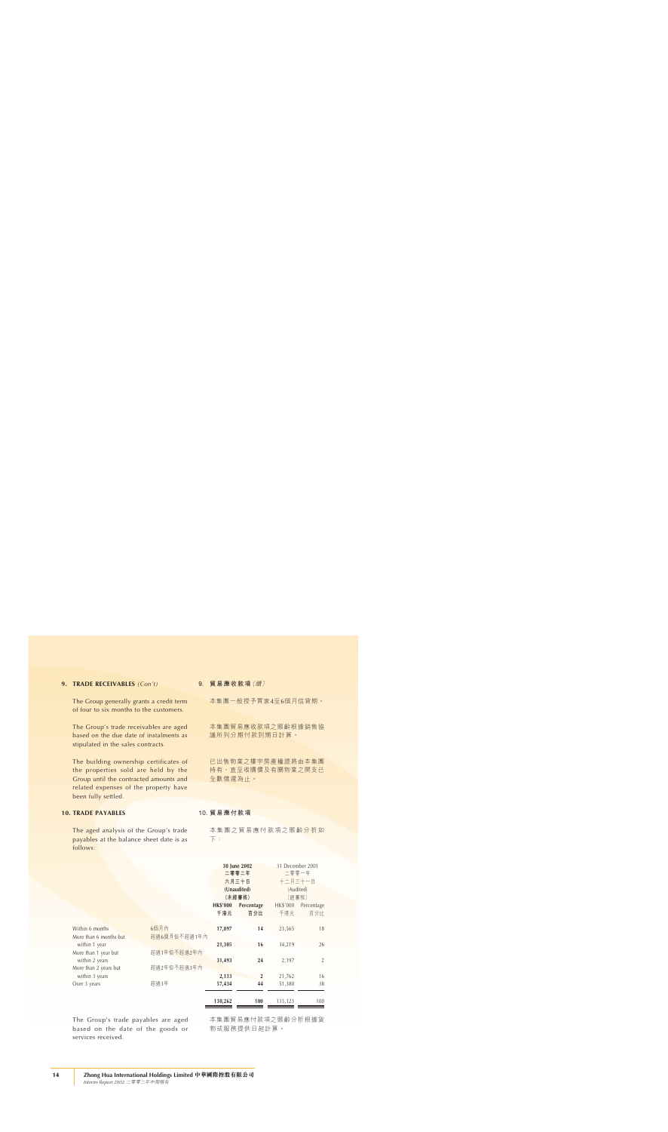#### **9. TRADE RECEIVABLES** *(Con't)*

The Group generally grants a credit term of four to six months to the customers.

The Group's trade receivables are aged based on the due date of instalments as stipulated in the sales contracts.

The building ownership certificates of the properties sold are held by the Group until the contracted amounts and related expenses of the property have been fully settled.

### **10. TRADE PAYABLES**

The aged analysis of the Group's trade payables at the balance sheet date is as follows:

**9. 貿易應收款項**(續)

本集團一般授予買家4至6個月信貸期。

本集團貿易應收款項之賬齡根據銷售協 議所列分期付款到期日計算。

已出售物業之樓宇房產權證將由本集團 持有,直至收購價及有關物業之開支已 全數償還為止。

### **10. 貿易應付款項**

本集團之貿易應付款項之賬齡分析如 下:

|                                           |                      | 30 June 2002<br>二零零二年<br>六月三十日<br>(Unaudited)<br>(未經審核) |                   | 31 December 2001<br>二零零一年<br>十二月三十一日<br>(Audited)<br>(經審核) |                   |
|-------------------------------------------|----------------------|---------------------------------------------------------|-------------------|------------------------------------------------------------|-------------------|
|                                           |                      | <b>HK\$'000</b><br>千港元                                  | Percentage<br>百分比 | <b>HK\$'000</b><br>千港元                                     | Percentage<br>百分比 |
| Within 6 months<br>More than 6 months but | 6個月內<br>超過6個月但不超過1年內 | 17,897                                                  | 14                | 23,565                                                     | 18                |
| within 1 year<br>More than 1 year but     | 超過1年但不超過2年內          | 21,305                                                  | 16                | 34,219                                                     | 26                |
| within 2 years<br>More than 2 years but   | 超過2年但不超過3年內          | 31,493                                                  | 24                | 2,197                                                      | $\overline{2}$    |
| within 3 years                            |                      | 2,133                                                   | $\overline{2}$    | 21,762                                                     | 16                |
| Over 3 years                              | 超過3年                 | 57,434                                                  | 44                | 51,380                                                     | 38                |
|                                           |                      | 130,262                                                 | 100               | 133,123                                                    | 100               |

The Group's trade payables are aged based on the date of the goods or services received.

本集團貿易應付款項之賬齡分析根據貨 物或服務提供日起計算。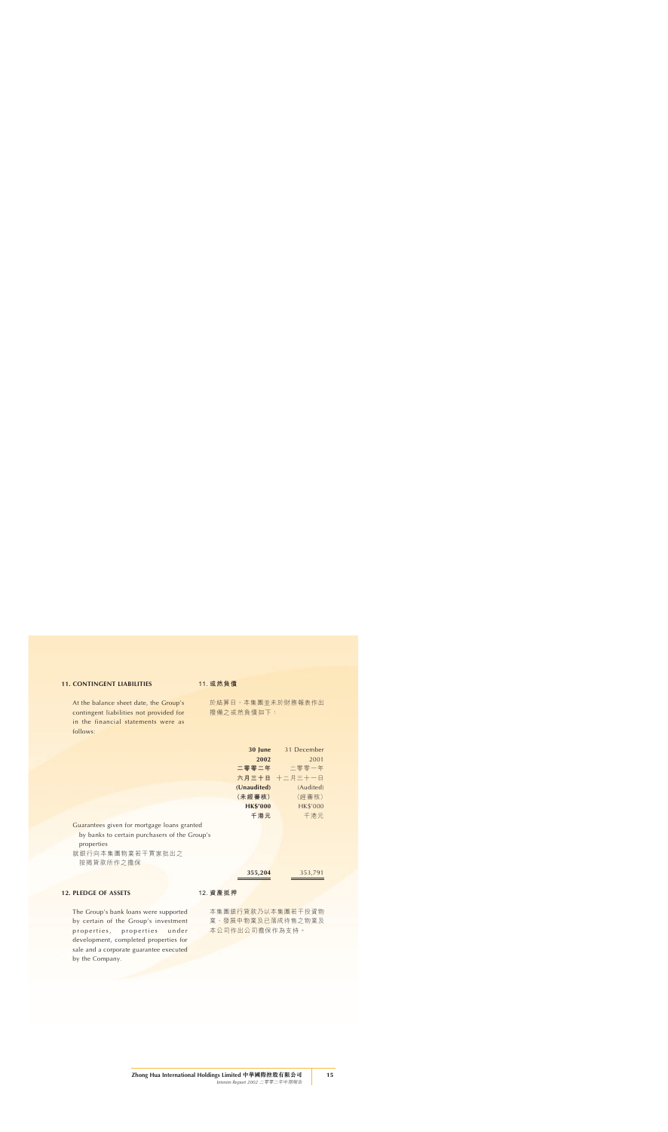### **11. CONTINGENT LIABILITIES**

At the balance sheet date, the Group's contingent liabilities not provided for in the financial statements were as follows:

### **11. 或然負債**

於結算日,本集團並未於財務報表作出 撥備之或然負債如下:

|                                               | 30 June         | 31 December     |
|-----------------------------------------------|-----------------|-----------------|
|                                               | 2002            | 2001            |
|                                               |                 | 二零零二年 二零零一年     |
|                                               |                 | 六月三十日 十二月三十一日   |
|                                               | (Unaudited)     | (Audited)       |
|                                               | (未經審核)          | (經審核)           |
|                                               | <b>HK\$'000</b> | <b>HK\$'000</b> |
|                                               | 千港元             | 千港元             |
| Guarantees given for mortgage loans granted   |                 |                 |
| by banks to certain purchasers of the Group's |                 |                 |
| properties                                    |                 |                 |
| 就銀行向本集團物業若干買家批出之                              |                 |                 |
| 按揭貸款所作之擔保                                     |                 |                 |
|                                               | 355,204         | 353,791         |

### **12. PLEDGE OF ASSETS**

The Group's bank loans were supported by certain of the Group's investment properties, properties under development, completed properties for sale and a corporate guarantee executed by the Company.

#### **12. 資產抵押**

本集團銀行貸款乃以本集團若干投資物 業、發展中物業及已落成待售之物業及 本公司作出公司擔保作為支持。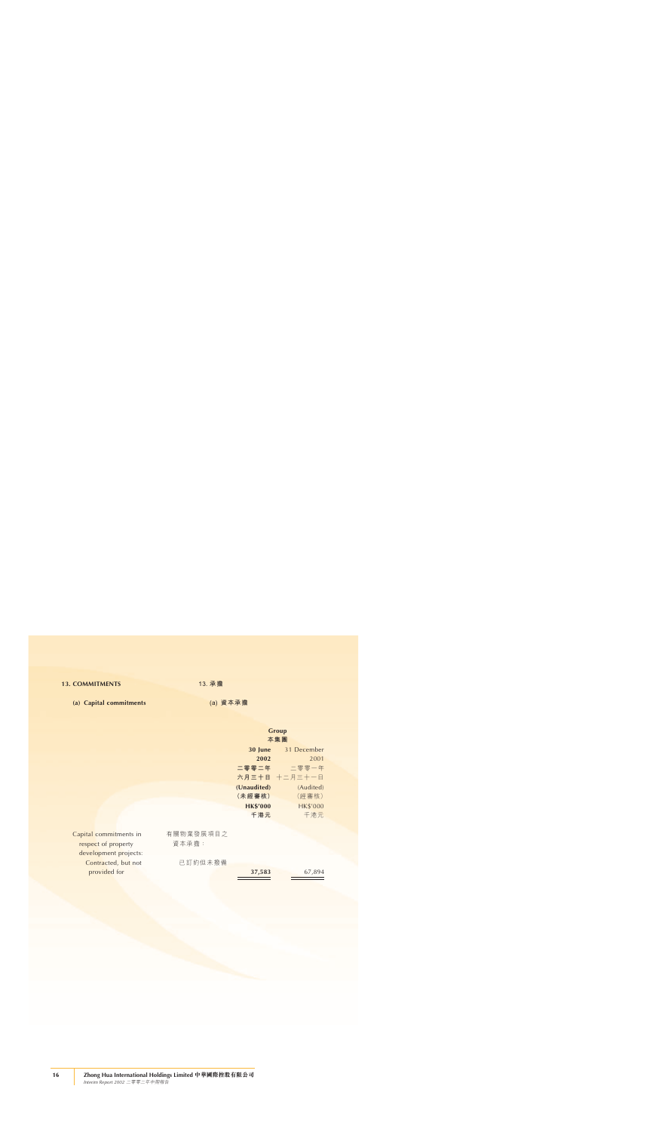### **13. COMMITMENTS**

**(a) Capital commitments**

**13. 承擔**

**(a) 資本承擔**

|                        |           |                 | Group           |
|------------------------|-----------|-----------------|-----------------|
|                        |           |                 | 本集團             |
|                        |           | 30 June         | 31 December     |
|                        |           | 2002            | 2001            |
|                        |           | 二零零二年           | 二零零一年           |
|                        |           |                 | 六月三十日 十二月三十一日   |
|                        |           | (Unaudited)     | (Audited)       |
|                        |           | (未經審核)          | (經審核)           |
|                        |           | <b>HK\$'000</b> | <b>HK\$'000</b> |
|                        |           | 千港元             | 千港元             |
|                        |           |                 |                 |
| Capital commitments in | 有關物業發展項目之 |                 |                 |
| respect of property    | 資本承擔:     |                 |                 |
| development projects:  |           |                 |                 |
| Contracted, but not    | 已訂約但未撥備   |                 |                 |
| provided for           |           | 37,583          | 67,894          |
|                        |           |                 |                 |
|                        |           |                 |                 |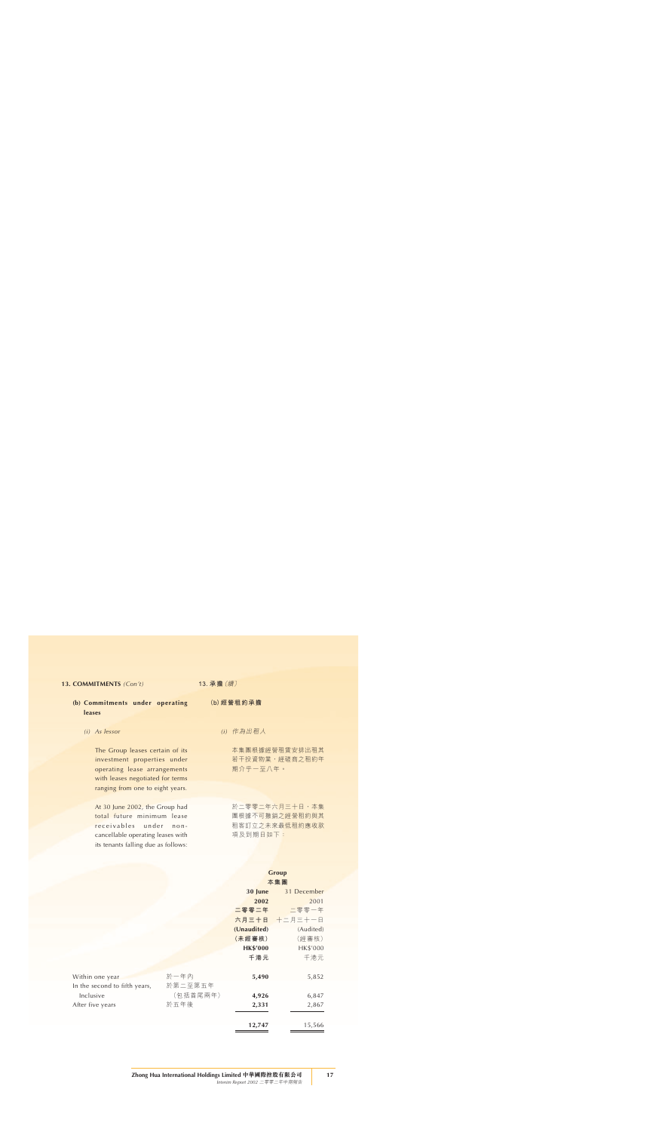### **13. COMMITMENTS** *(Con't)*

- **(b) Commitments under operating leases**
	- *(i) As lessor*

The Group leases certain of its investment properties under operating lease arrangements with leases negotiated for terms ranging from one to eight years.

At 30 June 2002, the Group had total future minimum lease receivables under noncancellable operating leases with its tenants falling due as follows:

**13. 承擔**(續)

**(b)經營租約承擔**

*(i)* 作為出租人

本集團根據經營租賃安排出租其 若干投資物業,經磋商之租約年 期介乎一至八年。

於二零零二年六月三十日,本集 團根據不可撤銷之經營租約與其 租客訂立之未來最低租約應收款 項及到期日如下:

# **Group**

|                               |          | 30 June         | 31 December   |
|-------------------------------|----------|-----------------|---------------|
|                               |          | 2002            | 2001          |
|                               |          | 二零零二年           | 二零零一年         |
|                               |          |                 | 六月三十日 十二月三十一日 |
|                               |          | (Unaudited)     | (Audited)     |
|                               |          | (未經審核)          | (經審核)         |
|                               |          | <b>HK\$'000</b> | HK\$'000      |
|                               |          | 千港元             | 千港元           |
| Within one year               | 於一年內     | 5,490           | 5,852         |
| In the second to fifth years, | 於第二至第五年  |                 |               |
| Inclusive                     | (包括首尾兩年) | 4,926           | 6,847         |
| After five years              | 於五年後     | 2,331           | 2,867         |
|                               |          | 12,747          | 15,566        |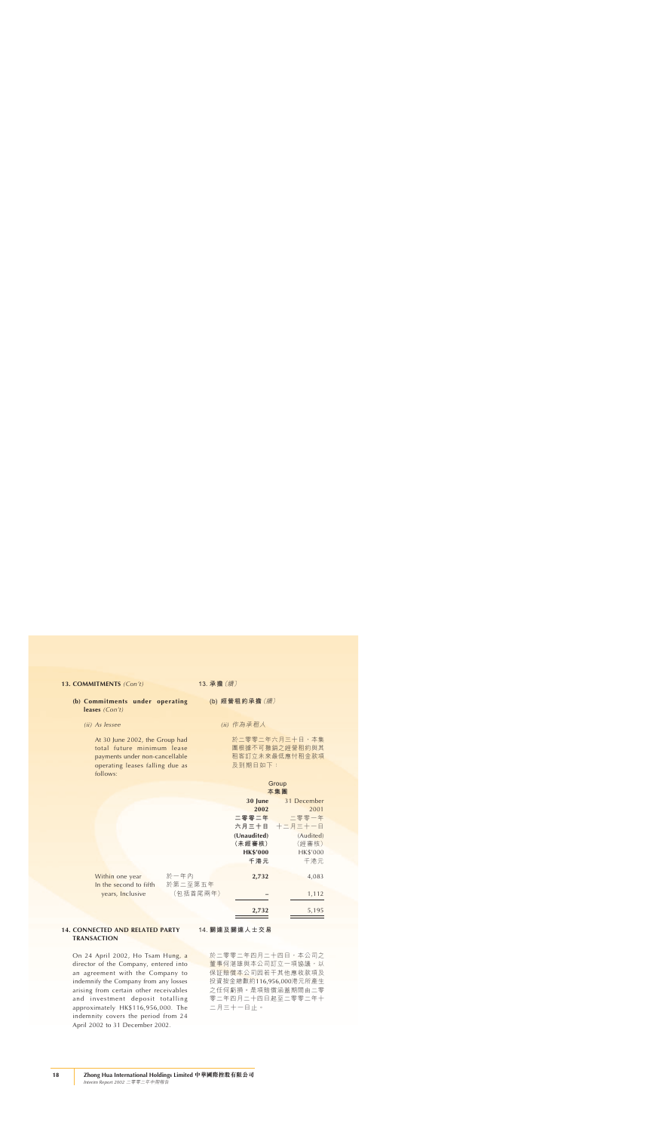#### **13. COMMITMENTS** *(Con't)*

- **(b) Commitments under operating leases** *(Con't)*
	- *(ii) As lessee*

At 30 June 2002, the Group had total future minimum lease payments under non-cancellable operating leases falling due as follows:

**13. 承擔**(續)

**(b) 經營租約承擔**(續)

*(ii)* 作為承租人

於二零零二年六月三十日,本集 團根據不可撤銷之經營租約與其 租客訂立未來最低應付租金款項 及到期日如下:

# Group<br>**土**焦国

|                        |          | 本集團             |               |
|------------------------|----------|-----------------|---------------|
|                        |          | 30 June         | 31 December   |
|                        |          | 2002            | 2001          |
|                        |          | 二零零二年           | 二零零一年         |
|                        |          |                 | 六月三十日 十二月三十一日 |
|                        |          | (Unaudited)     | (Audited)     |
|                        |          | (未經審核)          | (經審核)         |
|                        |          | <b>HK\$'000</b> | HK\$'000      |
|                        |          | 千港元             | 千港元           |
| Within one year        | 於一年內     | 2,732           | 4,083         |
| In the second to fifth | 於第二至第五年  |                 |               |
| years, Inclusive       | (包括首尾兩年) |                 | 1,112         |
|                        |          | 2,732           | 5,195         |

### **14. CONNECTED AND RELATED PARTY TRANSACTION**

On 24 April 2002, Ho Tsam Hung, a director of the Company, entered into an agreement with the Company to indemnify the Company from any losses arising from certain other receivables and investment deposit totalling approximately HK\$116,956,000. The indemnity covers the period from 24 April 2002 to 31 December 2002.

#### **14. 關連及關連人士交易**

於二零零二年四月二十四日,本公司之 董事何湛雄與本公司訂立一項協議,以 保証賠償本公司因若干其他應收款項及 投資按金總數約116,956,000港元所產生 之任何虧損。是項賠償涵蓋期間由二零 零二年四月二十四日起至二零零二年十 二月三十一日止。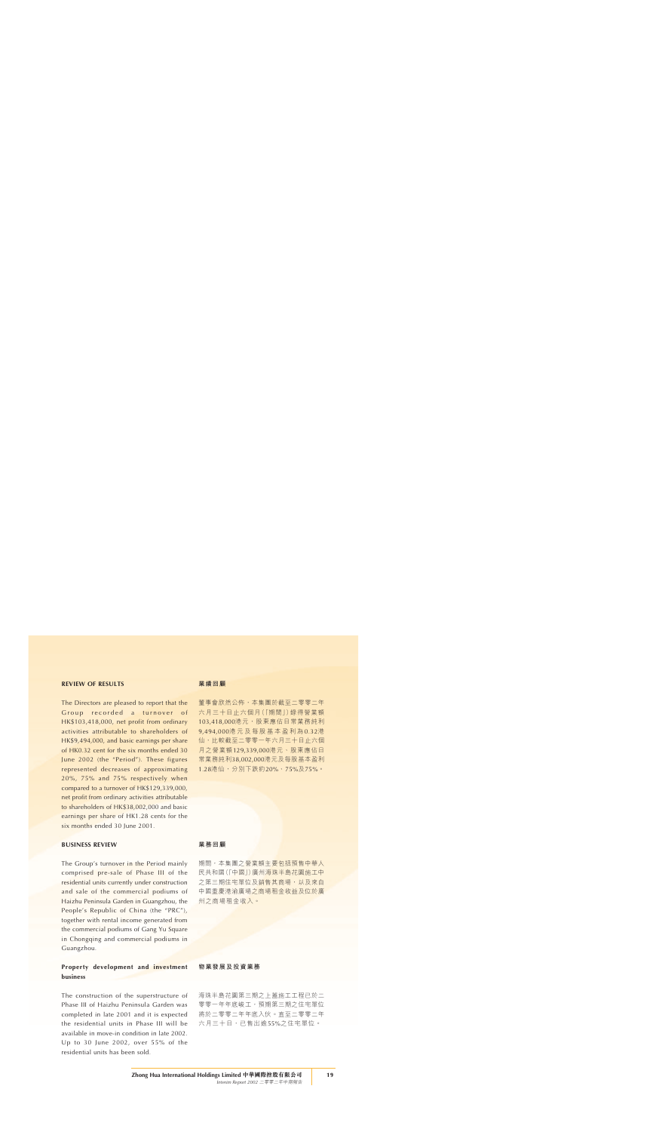### **REVIEW OF RESULTS**

The Directors are pleased to report that the Group recorded a turnover of HK\$103,418,000, net profit from ordinary activities attributable to shareholders of HK\$9,494,000, and basic earnings per share of HK0.32 cent for the six months ended 30 June 2002 (the "Period"). These figures represented decreases of approximating 20%, 75% and 75% respectively when compared to a turnover of HK\$129,339,000, net profit from ordinary activities attributable to shareholders of HK\$38,002,000 and basic earnings per share of HK1.28 cents for the six months ended 30 June 2001.

### **BUSINESS REVIEW**

The Group's turnover in the Period mainly comprised pre-sale of Phase III of the residential units currently under construction and sale of the commercial podiums of Haizhu Peninsula Garden in Guangzhou, the People's Republic of China (the "PRC"), together with rental income generated from the commercial podiums of Gang Yu Square in Chongqing and commercial podiums in Guangzhou.

### **Property development and investment business**

The construction of the superstructure of Phase III of Haizhu Peninsula Garden was completed in late 2001 and it is expected the residential units in Phase III will be available in move-in condition in late 2002. Up to 30 June 2002, over 55% of the residential units has been sold.

#### **業績回顧**

董事會欣然公佈,本集團於截至二零零二年 六月三十日止六個月(「期間」)錄得營業額 103,418,000港元,股東應佔日常業務純利 9,494,000港元及每股基本盈利為 0.32港 仙,比較截至二零零一年六月三十日止六個 月之營業額129,339,000港元、股東應佔日 常業務純利38,002,000港元及每股基本盈利 1.28港仙,分別下跌約20%、75%及75%。

#### **業務回顧**

期間,本集團之營業額主要包括預售中華人 民共和國(「中國」)廣州海珠半島花園施工中 之第三期住宅單位及銷售其商場,以及來自 中國重慶港渝廣場之商場租金收益及位於廣 州之商場租金收入。

### **物業發展及投資業務**

海珠半島花園第三期之上蓋施工工程已於二 零零一年年底峻工,預期第三期之住宅單位 將於二零零二年年底入伙。直至二零零二年 六月三十日,已售出逾55%之住宅單位。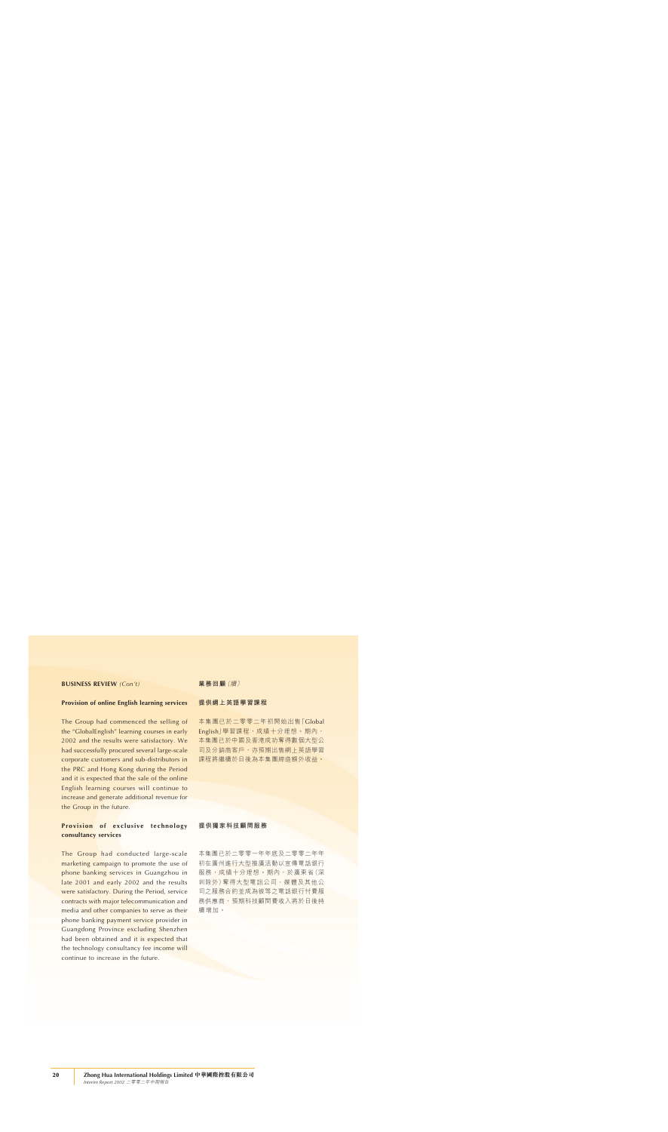### **BUSINESS REVIEW** *(Con't)*

### **Provision of online English learning services**

The Group had commenced the selling of the "GlobalEnglish" learning courses in early 2002 and the results were satisfactory. We had successfully procured several large-scale corporate customers and sub-distributors in the PRC and Hong Kong during the Period and it is expected that the sale of the online English learning courses will continue to increase and generate additional revenue for the Group in the future.

# **Provision of exclusive technology consultancy services**

The Group had conducted large-scale marketing campaign to promote the use of phone banking services in Guangzhou in late 2001 and early 2002 and the results were satisfactory. During the Period, service contracts with major telecommunication and media and other companies to serve as their phone banking payment service provider in Guangdong Province excluding Shenzhen had been obtained and it is expected that the technology consultancy fee income will continue to increase in the future.

**業務回顧**(續)

### **提供網上英語學習課程**

本集團已於二零零二年初開始出售「Global English」學習課程, 成績十分理想。期內, 本集團已於中國及香港成功奪得數個大型公 司及分銷商客戶,亦預期出售網上英語學習 課程將繼續於日後為本集團締造額外收益。

### **提供獨家科技顧問服務**

本集團已於二零零一年年底及二零零二年年 初在廣州進行大型推廣活動以宣傳電話銀行 服務,成績十分理想。期內,於廣東省(深 圳除外)奪得大型電訊公司、媒體及其他公 司之服務合約並成為彼等之電話銀行付費服 務供應商,預期科技顧問費收入將於日後持 續增加。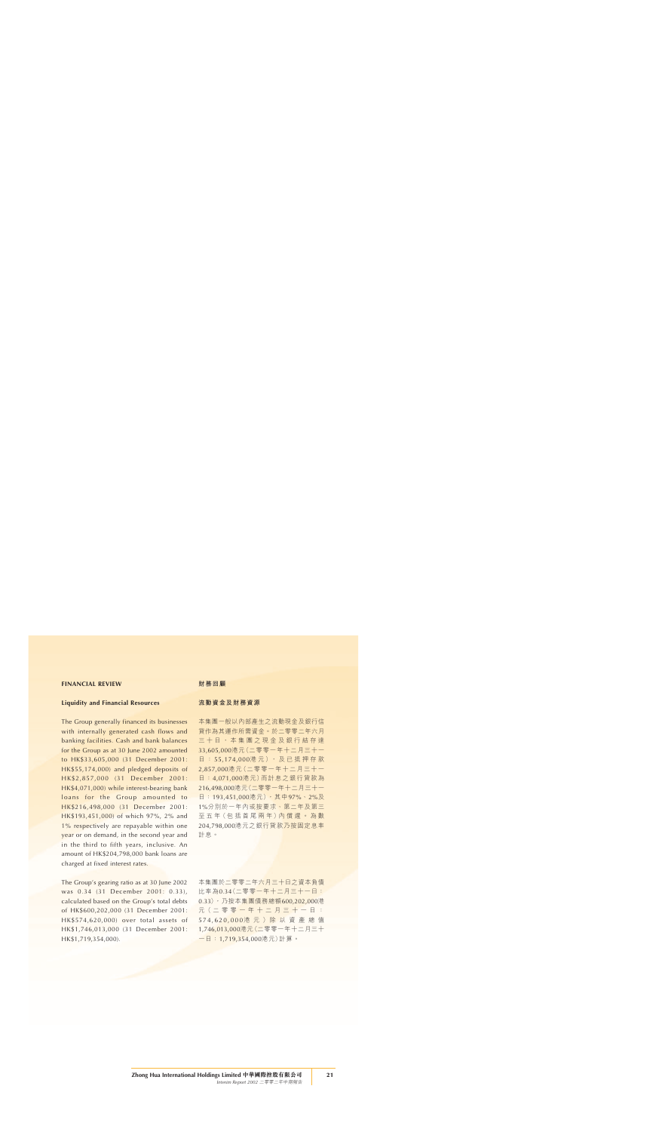### **FINANCIAL REVIEW**

#### **Liquidity and Financial Resources**

The Group generally financed its businesses with internally generated cash flows and banking facilities. Cash and bank balances for the Group as at 30 June 2002 amounted to HK\$33,605,000 (31 December 2001: HK\$55,174,000) and pledged deposits of HK\$2,857,000 (31 December 2001: HK\$4,071,000) while interest-bearing bank loans for the Group amounted to HK\$216,498,000 (31 December 2001: HK\$193,451,000) of which 97%, 2% and 1% respectively are repayable within one year or on demand, in the second year and in the third to fifth years, inclusive. An amount of HK\$204,798,000 bank loans are charged at fixed interest rates.

The Group's gearing ratio as at 30 June 2002 was 0.34 (31 December 2001: 0.33), calculated based on the Group's total debts of HK\$600,202,000 (31 December 2001: HK\$574,620,000) over total assets of HK\$1,746,013,000 (31 December 2001: HK\$1,719,354,000).

#### **財務回顧**

### **流動資金及財務資源**

本集團一般以內部產生之流動現金及銀行信 貸作為其運作所需資金。於二零零二年六月 三十日,本集團之現金及銀行結存達 33,605,000港元(二零零一年十二月三十一 日: 55.174.000港元), 及已抵押存款 2,857,000港元(二零零一年十二月三十一 日:4,071,000港元)而計息之銀行貸款為 216,498,000港元(二零零一年十二月三十一 日: 193,451,000港元), 其中97%、2%及 1%分別於一年內或按要求、第二年及第三 至 五 年 (包 括 首 尾 兩 年) 內 償 還 。 為 數 204,798,000港元之銀行貸款乃按固定息率 計息。

本集團於二零零二年六月三十日之資本負債 比率為0.34(二零零一年十二月三十一日: 0.33),乃按本集團債務總額600,202,000港 元 (二零零一年十二月三十一日: 574,620,000港 元 )除 以 資 產 總 值 1,746,013,000港元(二零零一年十二月三十 一日:1,719,354,000港元)計算。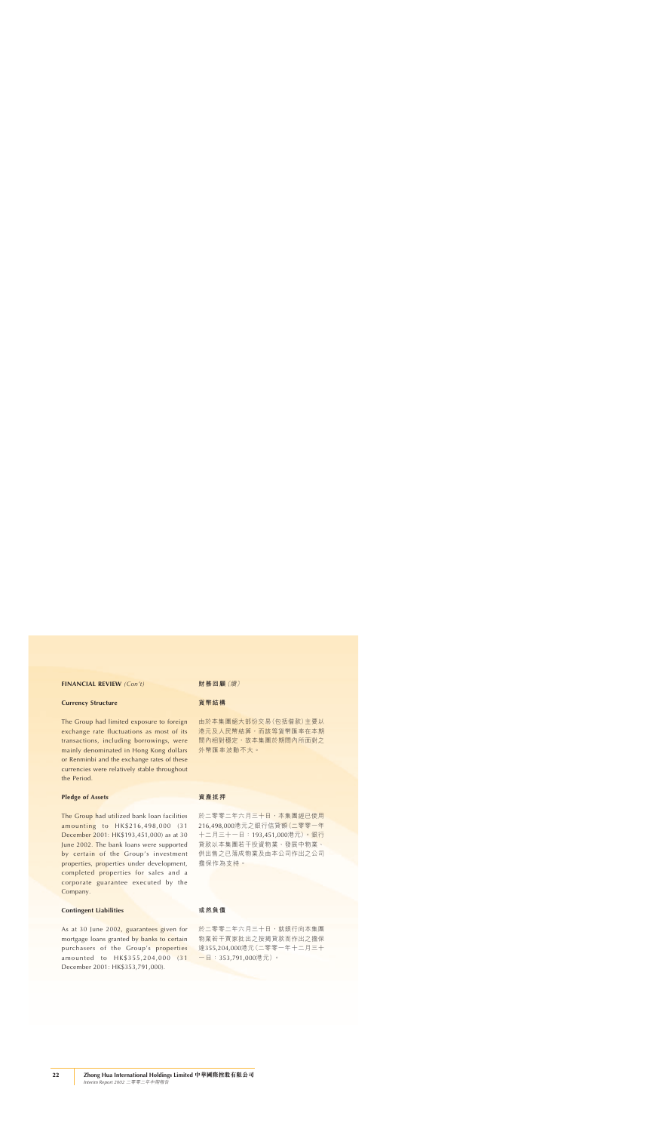### **FINANCIAL REVIEW** *(Con't)*

### **Currency Structure**

The Group had limited exposure to foreign exchange rate fluctuations as most of its transactions, including borrowings, were mainly denominated in Hong Kong dollars or Renminbi and the exchange rates of these currencies were relatively stable throughout the Period.

### **Pledge of Assets**

The Group had utilized bank loan facilities amounting to HK\$216,498,000 (31 December 2001: HK\$193,451,000) as at 30 June 2002. The bank loans were supported by certain of the Group's investment properties, properties under development, completed properties for sales and a corporate guarantee executed by the Company.

### **Contingent Liabilities**

As at 30 June 2002, guarantees given for mortgage loans granted by banks to certain purchasers of the Group's properties amounted to HK\$355,204,000 (31 December 2001: HK\$353,791,000).

**財務回顧**(續)

#### **貨幣結構**

由於本集團絕大部份交易(包括借款)主要以 港元及人民幣結算,而該等貨幣匯率在本期 間內相對穩定,故本集團於期間內所面對之 外幣匯率波動不大。

#### **資產抵押**

於二零零二年六月三十日,本集團經已使用 216,498,000港元之銀行信貸額(二零零一年 十二月三十一日:193,451,000港元)。銀行 貸款以本集團若干投資物業、發展中物業、 供出售之已落成物業及由本公司作出之公司 擔保作為支持。

### **或然負債**

於二零零二年六月三十日,就銀行向本集團 物業若干買家批出之按揭貸款而作出之擔保 達355,204,000港元(二零零一年十二月三十 一日:353,791,000港元)。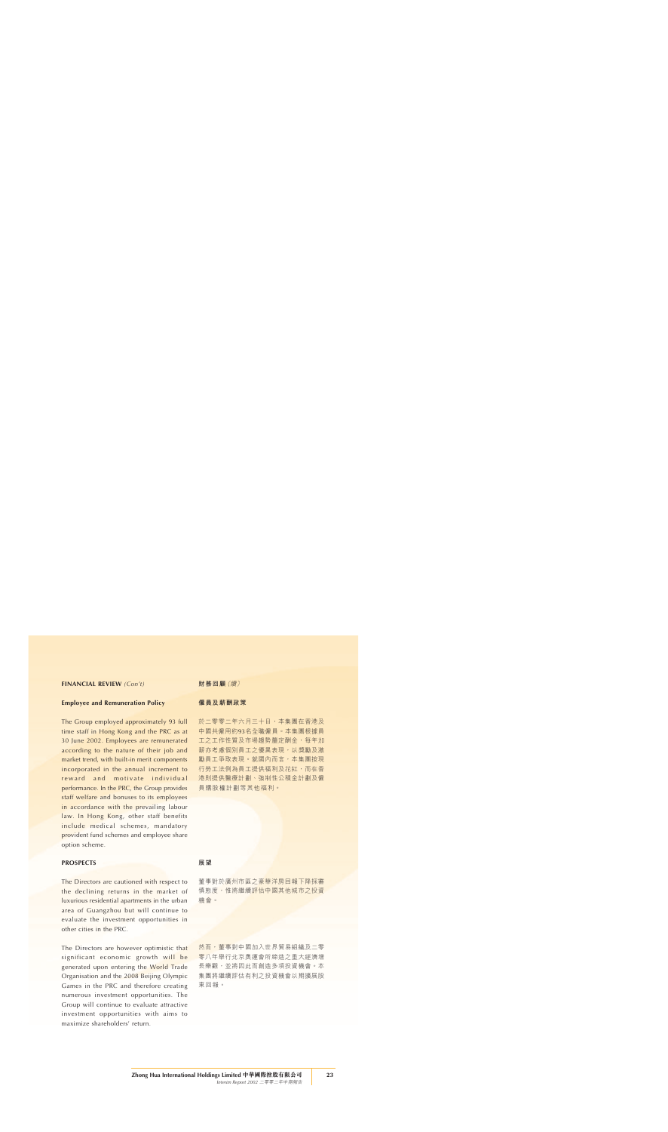### **FINANCIAL REVIEW** *(Con't)*

### **Employee and Remuneration Policy**

The Group employed approximately 93 full time staff in Hong Kong and the PRC as at 30 June 2002. Employees are remunerated according to the nature of their job and market trend, with built-in merit components incorporated in the annual increment to reward and motivate individual performance. In the PRC, the Group provides staff welfare and bonuses to its employees in accordance with the prevailing labour law. In Hong Kong, other staff benefits include medical schemes, mandatory provident fund schemes and employee share option scheme.

### **PROSPECTS**

The Directors are cautioned with respect to the declining returns in the market of luxurious residential apartments in the urban area of Guangzhou but will continue to evaluate the investment opportunities in other cities in the PRC.

The Directors are however optimistic that significant economic growth will be generated upon entering the World Trade Organisation and the 2008 Beijing Olympic Games in the PRC and therefore creating numerous investment opportunities. The Group will continue to evaluate attractive investment opportunities with aims to maximize shareholders' return.

**財務回顧**(續)

#### **僱員及薪酬政策**

於二零零二年六月三十日,本集團在香港及 中國共僱用約93名全職僱員。本集團根據員 工之工作性質及市場趨勢釐定酬金,每年加 薪亦考慮個別員工之優異表現,以獎勵及激 勵員工爭取表現。就國內而言,本集團按現 行勞工法例為員工提供福利及花紅,而在香 港則提供醫療計劃、強制性公積金計劃及僱 員購股權計劃等其他福利。

### **展望**

董事對於廣州市區之豪華洋房回報下降採審 慎態度,惟將繼續評估中國其他城市之投資 機會。

然而,董事對中國加入世界貿易組織及二零 零八年舉行北京奧運會所締造之重大經濟增 長樂觀,並將因此而創造多項投資機會。本 集團將繼續評估有利之投資機會以期擴展股 東回報。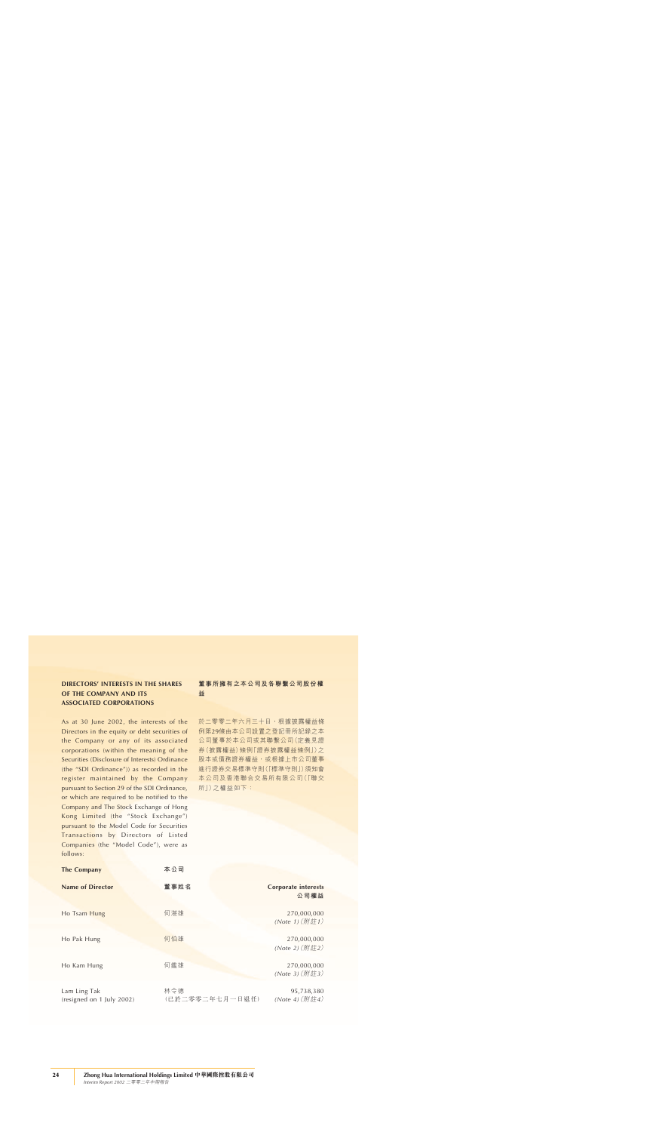As at 30 June 2002, the interests of the Directors in the equity or debt securities of the Company or any of its associated corporations (within the meaning of the Securities (Disclosure of Interests) Ordinance (the "SDI Ordinance")) as recorded in the register maintained by the Company pursuant to Section 29 of the SDI Ordinance, or which are required to be notified to the Company and The Stock Exchange of Hong Kong Limited (the "Stock Exchange") pursuant to the Model Code for Securities Transactions by Directors of Listed Companies (the "Model Code"), were as follows:

| <b>The Company</b>      | 本公司  |
|-------------------------|------|
| <b>Name of Director</b> | 董事姓名 |
| Ho Tsam Hung            | 何湛雄  |
| Ho Pak Hung             | 何伯雄  |
| Ho Kam Hung             | 何鑑雄  |
| Lam Ling Tak            | 林令德  |

# **董事所擁有之本公司及各聯繫公司股份權 益**

於二零零二年六月三十日,根據披露權益條 例第29條由本公司設置之登記冊所記錄之本 公司董事於本公司或其聯繫公司(定義見證 券(披露權益)條例「證券披露權益條例」)之 股本或債務證券權益,或根據上市公司董事 進行證券交易標準守則(「標準守則」)須知會 本公司及香港聯合交易所有限公司(「聯交 所」)之權益如下:

| The Company                               | 本公司                    |                                    |
|-------------------------------------------|------------------------|------------------------------------|
| <b>Name of Director</b>                   | 董事姓名                   | <b>Corporate interests</b><br>公司權益 |
| Ho Tsam Hung                              | 何湛雄                    | 270,000,000<br>(Note 1) (附註1)      |
| Ho Pak Hung                               | 何伯雄                    | 270,000,000<br>(Note 2) (附註2)      |
| Ho Kam Hung                               | 何鑑雄                    | 270,000,000<br>(Note 3) (附註3)      |
| Lam Ling Tak<br>(resigned on 1 July 2002) | 林令德<br>(已於二零零二年七月一日退任) | 95,738,380<br>(Note 4) (附註4)       |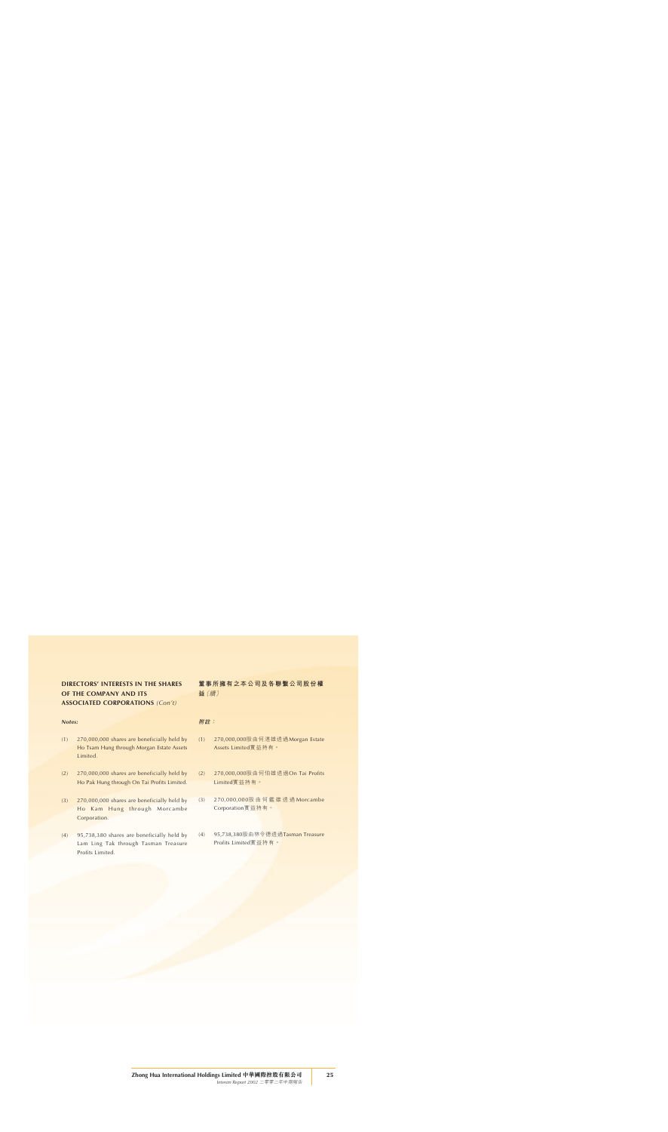#### *Notes:*

- (1) 270,000,000 shares are beneficially held by Ho Tsam Hung through Morgan Estate Assets Limited.
- (2) 270,000,000 shares are beneficially held by Ho Pak Hung through On Tai Profits Limited.
- (3) 270,000,000 shares are beneficially held by Ho Kam Hung through Morcambe Corporation.
- (4) 95,738,380 shares are beneficially held by Lam Ling Tak through Tasman Treasure Profits Limited.

**董事所擁有之本公司及各聯繫公司股份權 益**(續)

### **附註:**

- (1) 270,000,000股由何湛雄透過Morgan Estate Assets Limited實益持有。
- (2) 270,000,000股由何伯雄透過On Tai Profits Limited實益持有。
- (3) 270,000,000股由何鑑雄透過 Morcambe Corporation實益持有。
- (4) 95,738,380股由林令德透過Tasman Treasure Profits Limited實益持有。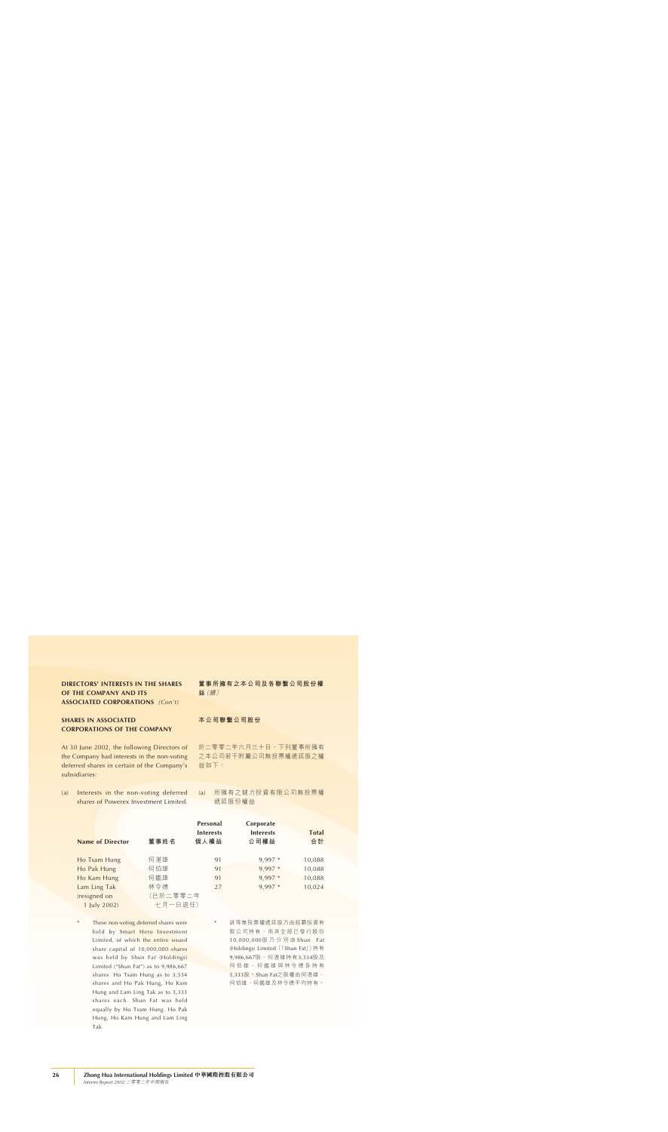### **SHARES IN ASSOCIATED CORPORATIONS OF THE COMPANY**

At 30 June 2002, the following Directors of the Company had interests in the non-voting deferred shares in certain of the Company's subsidiaries:

(a) Interests in the non-voting deferred shares of Powerex Investment Limited.

**董事所擁有之本公司及各聯繫公司股份權 益**(續)

#### **本公司聯繫公司股份**

於二零零二年六月三十日,下列董事所擁有 之本公司若干附屬公司無投票權遞延股之權 益如下:

(a) 所擁有之健力投資有限公司無投票權 遞延股份權益

|                         |          | Personal         | Corporate        |              |
|-------------------------|----------|------------------|------------------|--------------|
|                         |          | <b>Interests</b> | <b>Interests</b> | <b>Total</b> |
| <b>Name of Director</b> | 董事姓名     | 個人權益             | 公司權益             | 合計           |
|                         |          |                  |                  |              |
| Ho Tsam Hung            | 何湛雄      | 91               | $9,997*$         | 10,088       |
| Ho Pak Hung             | 何伯雄      | 91               | $9,997*$         | 10,088       |
| Ho Kam Hung             | 何鑑雄      | 91               | 9,997 *          | 10,088       |
| Lam Ling Tak            | 林令德      | 27               | 9,997 *          | 10,024       |
| (resigned on            | (已於二零零二年 |                  |                  |              |
| 1 July 2002)            | 十月一日 退任) |                  |                  |              |

These non-voting deferred shares were held by Smart Hero Investment Limited, of which the entire issued share capital of 10,000,000 shares was held by Shun Fat (Holdings) Limited ("Shun Fat") as to 9,986,667 shares. Ho Tsam Hung as to 3,334 shares and Ho Pak Hung, Ho Kam Hung and Lam Ling Tak as to 3,333 shares each. Shun Fat was held equally by Ho Tsam Hung. Ho Pak Hung, Ho Kam Hung and Lam Ling Tak.

該等無投票權遞延股乃由超霸投資有 限公司持有,而其全部已發行股份 10,000,000股乃分別由 Shun Fat (Holdings) Limited (「Shun Fat」)持有 9,986,667股、何湛雄持有3,334股及 何伯雄、何鑑雄與林令德各持有 3,333股。Shun Fat之股權由何湛雄、 何伯雄、何鑑雄及林令德平均持有。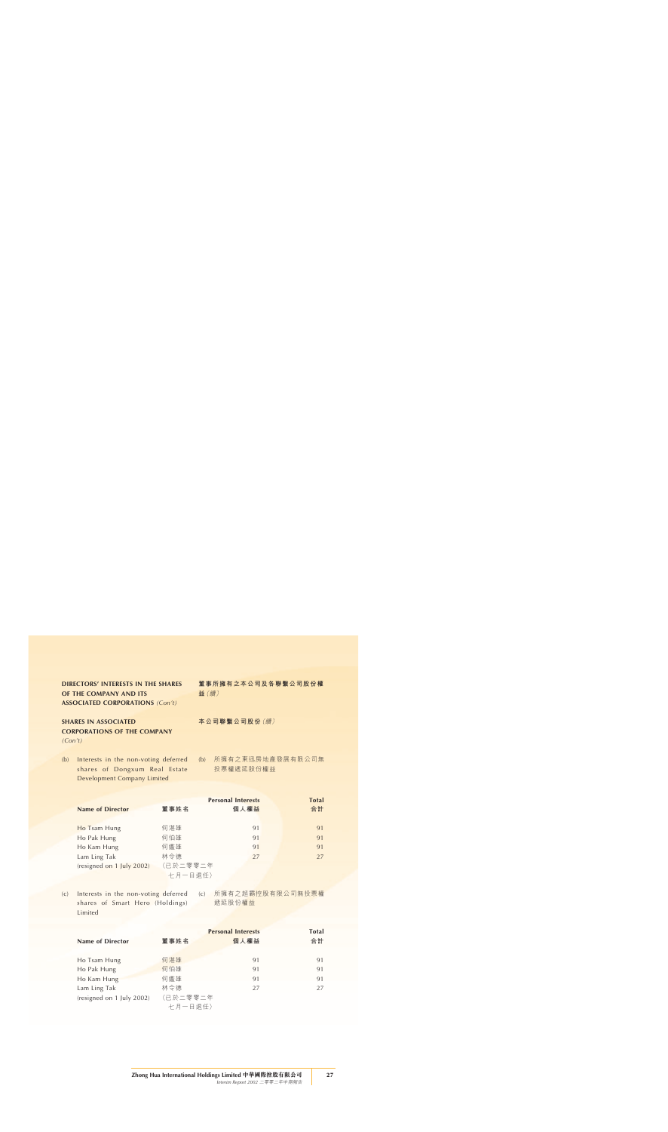# **SHARES IN ASSOCIATED CORPORATIONS OF THE COMPANY**

*(Con't)*

(b) Interests in the non-voting deferred shares of Dongxum Real Estate Development Company Limited

**董事所擁有之本公司及各聯繫公司股份權 益**(續)

**本公司聯繫公司股份**(續)

(b) 所擁有之東迅房地產發展有限公司無 投票權遞延股份權益

|                           |          | <b>Personal Interests</b> | <b>Total</b> |
|---------------------------|----------|---------------------------|--------------|
| <b>Name of Director</b>   | 董事姓名     | 個人權益                      | 合計           |
|                           |          |                           |              |
| Ho Tsam Hung              | 何湛雄      | 91                        | 91           |
| Ho Pak Hung               | 何伯雄      | 91                        | 91           |
| Ho Kam Hung               | 何鑑雄      | 91                        | 91           |
| Lam Ling Tak              | 林令德      | 27                        | 27           |
| (resigned on 1 July 2002) | (已於二零零二年 |                           |              |
|                           | 七月一日退任)  |                           |              |

(c) Interests in the non-voting deferred shares of Smart Hero (Holdings) **Limited** 

(c) 所擁有之超霸控股有限公司無投票權 遞延股份權益

|          |      | <b>Total</b>              |
|----------|------|---------------------------|
| 董事姓名     | 個人權益 | 合計                        |
|          |      |                           |
| 何湛雄      | 91   | 91                        |
| 何伯雄      | 91   | 91                        |
| 何鑑雄      | 91   | 91                        |
| 林令德      | 27   | 27                        |
| (已於二零零二年 |      |                           |
| 十月一日 退任) |      |                           |
|          |      | <b>Personal Interests</b> |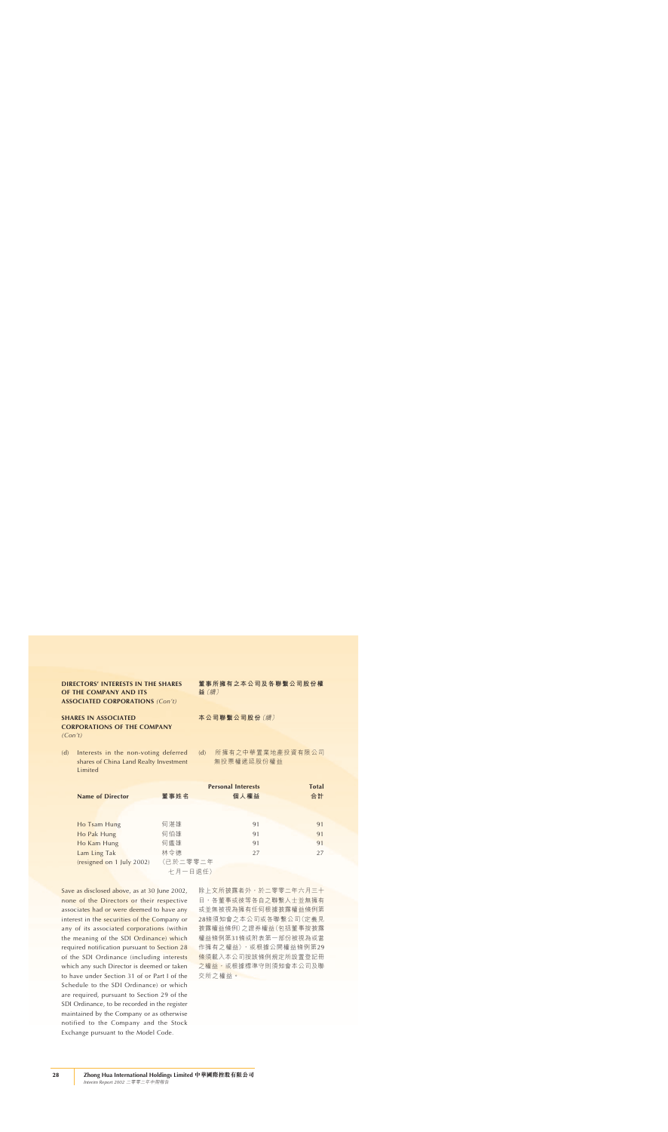# **SHARES IN ASSOCIATED CORPORATIONS OF THE COMPANY**

*(Con't)*

(d) Interests in the non-voting deferred shares of China Land Realty Investment Limited

**董事所擁有之本公司及各聯繫公司股份權 益**(續)

**本公司聯繫公司股份**(續)

(d) 所擁有之中華置業地產投資有限公司 無投票權遞延股份權益

| <b>Name of Director</b>   | 董事姓名     | <b>Personal Interests</b><br>個人權益 | <b>Total</b><br>合計 |
|---------------------------|----------|-----------------------------------|--------------------|
|                           |          |                                   |                    |
| Ho Tsam Hung              | 何湛雄      | 91                                | 91                 |
| Ho Pak Hung               | 何伯雄      | 91                                | 91                 |
| Ho Kam Hung               | 何鑑雄      | 91                                | 91                 |
| Lam Ling Tak              | 林令德      | 27                                | 27                 |
| (resigned on 1 July 2002) | (已於二零零二年 |                                   |                    |
|                           | 七月一日退任)  |                                   |                    |

Save as disclosed above, as at 30 June 2002, none of the Directors or their respective associates had or were deemed to have any interest in the securities of the Company or any of its associated corporations (within the meaning of the SDI Ordinance) which required notification pursuant to Section 28 of the SDI Ordinance (including interests which any such Director is deemed or taken to have under Section 31 of or Part I of the Schedule to the SDI Ordinance) or which are required, pursuant to Section 29 of the SDI Ordinance, to be recorded in the register maintained by the Company or as otherwise notified to the Company and the Stock Exchange pursuant to the Model Code.

除上文所披露者外,於二零零二年六月三十 日,各董事或彼等各自之聯繫人士並無擁有 或並無被視為擁有任何根據披露權益條例第 28條須知會之本公司或各聯繫公司(定義見 披露權益條例)之證券權益(包括董事按披露 權益條例第31條或附表第一部份被視為或當 作擁有之權益),或根據公開權益條例第29 條須載入本公司按該條例規定所設置登記冊 之權益,或根據標準守則須知會本公司及聯 交所之權益。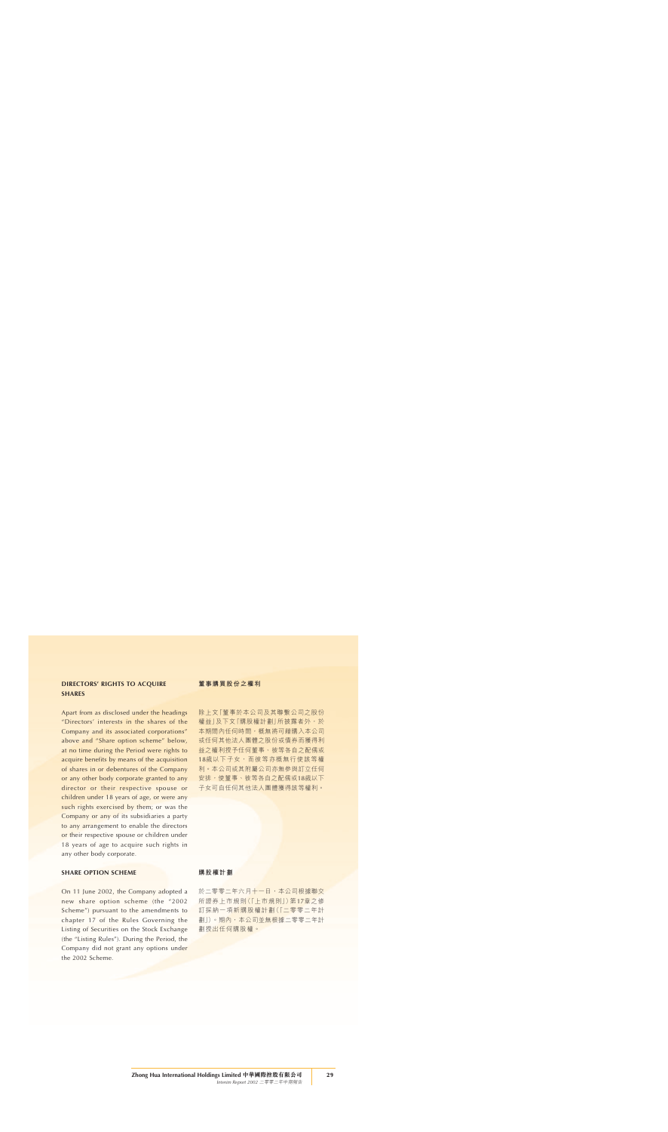# **DIRECTORS' RIGHTS TO ACQUIRE SHARES**

Apart from as disclosed under the headings "Directors' interests in the shares of the Company and its associated corporations" above and "Share option scheme" below, at no time during the Period were rights to acquire benefits by means of the acquisition of shares in or debentures of the Company or any other body corporate granted to any director or their respective spouse or children under 18 years of age, or were any such rights exercised by them; or was the Company or any of its subsidiaries a party to any arrangement to enable the directors or their respective spouse or children under 18 years of age to acquire such rights in any other body corporate.

### **SHARE OPTION SCHEME**

On 11 June 2002, the Company adopted a new share option scheme (the "2002 Scheme") pursuant to the amendments to chapter 17 of the Rules Governing the Listing of Securities on the Stock Exchange (the "Listing Rules"). During the Period, the Company did not grant any options under the 2002 Scheme.

### **董事購買股份之權利**

除上文「董事於本公司及其聯繫公司之股份 權益」及下文「購股權計劃」所披露者外,於 本期間內任何時間,概無將可藉購入本公司 或任何其他法人團體之股份或債券而獲得利 益之權利授予任何董事、彼等各自之配偶或 18歲以下子女,而彼等亦概無行使該等權 利。本公司或其附屬公司亦無參與訂立任何 安排,使董事、彼等各自之配偶或18歲以下 子女可自任何其他法人團體獲得該等權利。

### **購股權計劃**

於二零零二年六月十一日,本公司根據聯交 所證券上市規則(「上市規則」)第17章之修 訂採納一項新購股權計劃(「二零零二年計 劃」)。期內,本公司並無根據二零零二年計 劃授出任何購股權。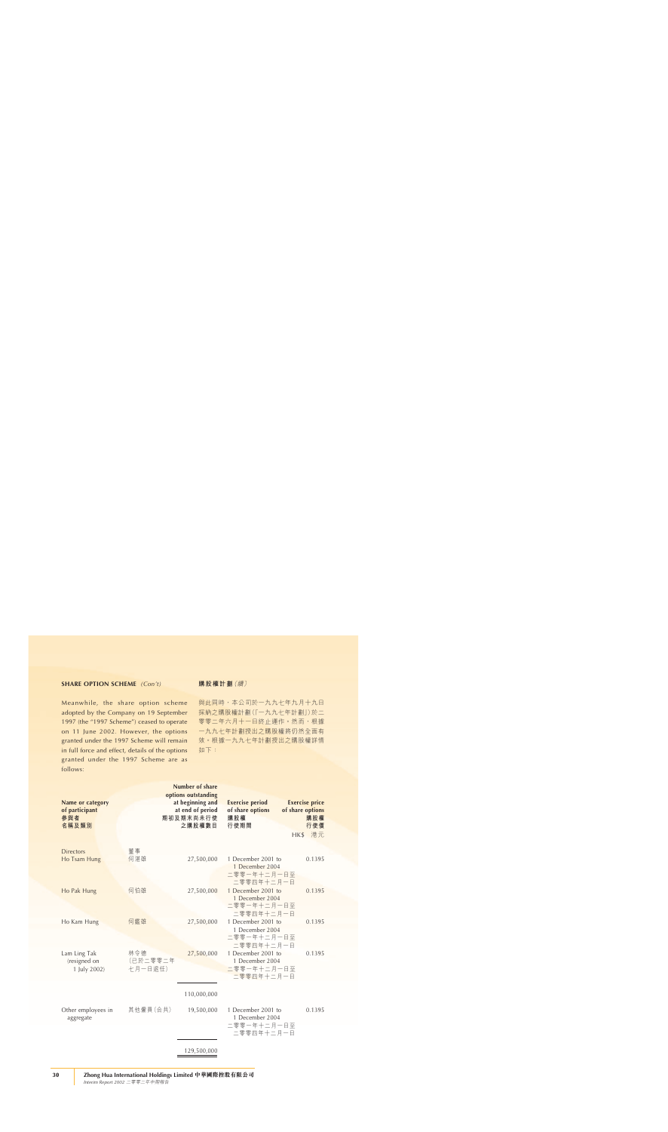### **SHARE OPTION SCHEME** *(Con't)*

Meanwhile, the share option scheme adopted by the Company on 19 September 1997 (the "1997 Scheme") ceased to operate on 11 June 2002. However, the options granted under the 1997 Scheme will remain in full force and effect, details of the options granted under the 1997 Scheme are as follows:

### **購股權計劃**(續)

與此同時,本公司於一九九七年九月十九日 採納之購股權計劃(「一九九七年計劃」)於二 零零二年六月十一日終止運作。然而,根據 一九九七年計劃授出之購股權將仍然全面有 效。根據一九九七年計劃授出之購股權詳情 如下:

|                                                    |                            | Number of share                                                                    |                                                                    |                                                                       |
|----------------------------------------------------|----------------------------|------------------------------------------------------------------------------------|--------------------------------------------------------------------|-----------------------------------------------------------------------|
| Name or category<br>of participant<br>參與者<br>名稱及類別 |                            | options outstanding<br>at beginning and<br>at end of period<br>期初及期末尚未行使<br>之購股權數目 | <b>Exercise period</b><br>of share options<br>購股權<br>行使期間          | <b>Exercise price</b><br>of share options<br>購股權<br>行使價<br>港元<br>HK\$ |
| <b>Directors</b><br>Ho Tsam Hung                   | 董事<br>何湛雄                  | 27,500,000                                                                         | 1 December 2001 to<br>1 December 2004<br>二零零一年十二月一日至<br>二零零四年十二月一日 | 0.1395                                                                |
| Ho Pak Hung                                        | 何伯雄                        | 27,500,000                                                                         | 1 December 2001 to<br>1 December 2004<br>二零零一年十二月一日至<br>二零零四年十二月一日 | 0.1395                                                                |
| Ho Kam Hung                                        | 何鑑雄                        | 27,500,000                                                                         | 1 December 2001 to<br>1 December 2004<br>二零零一年十二月一日至<br>二零零四年十二月一日 | 0.1395                                                                |
| Lam Ling Tak<br>(resigned on<br>1 July 2002)       | 林令德<br>(已於二零零二年<br>七月一日退任) | 27,500,000                                                                         | 1 December 2001 to<br>1 December 2004<br>二零零一年十二月一日至<br>二零零四年十二月一日 | 0.1395                                                                |
|                                                    |                            | 110,000,000                                                                        |                                                                    |                                                                       |
| Other employees in<br>aggregate                    | 其他僱員(合共)                   | 19,500,000                                                                         | 1 December 2001 to<br>1 December 2004<br>二零零一年十二月一日至<br>二零零四年十二月一日 | 0.1395                                                                |
|                                                    |                            | 129,500,000                                                                        |                                                                    |                                                                       |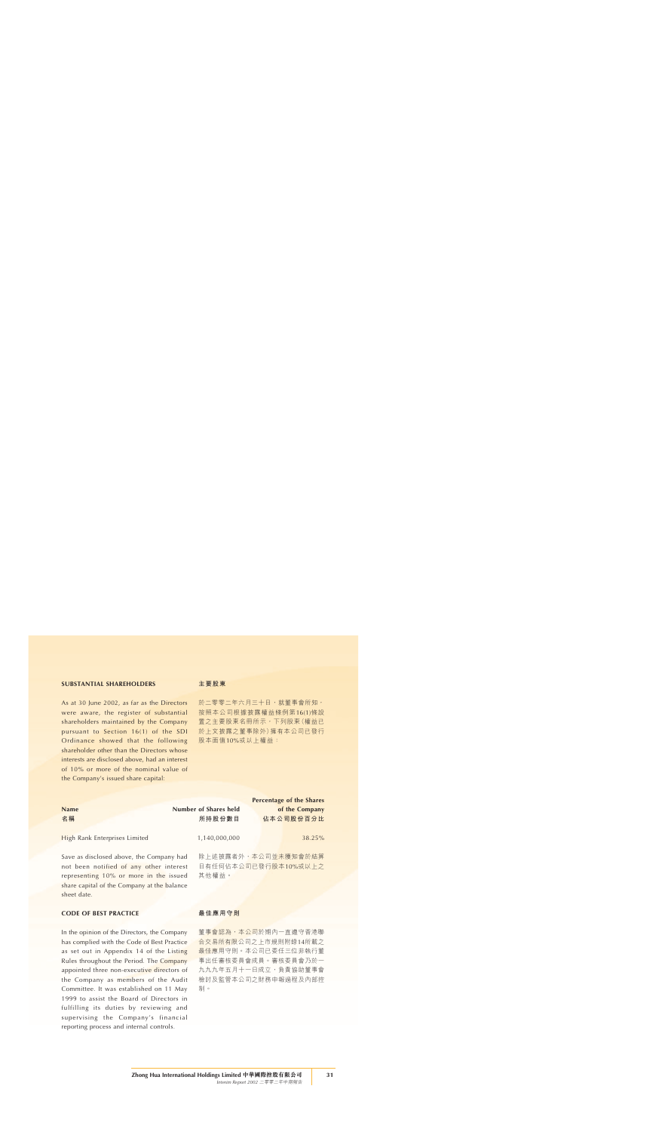### **SUBSTANTIAL SHAREHOLDERS**

As at 30 June 2002, as far as the Directors were aware, the register of substantial shareholders maintained by the Company pursuant to Section 16(1) of the SDI Ordinance showed that the following shareholder other than the Directors whose interests are disclosed above, had an interest of 10% or more of the nominal value of the Company's issued share capital:

#### **主要股東**

於二零零二年六月三十日,就董事會所知, 按照本公司根據披露權益條例第16(1)條設 置之主要股東名冊所示,下列股東(權益已 於上文披露之董事除外)擁有本公司已發行 股本面值10%或以上權益:

|                                                                                     |                       | Percentage of the Shares                    |
|-------------------------------------------------------------------------------------|-----------------------|---------------------------------------------|
| <b>Name</b>                                                                         | Number of Shares held | of the Company                              |
| 名稱                                                                                  | 所持股份數目                | 佔本公司股份百分比                                   |
| High Rank Enterprises Limited                                                       | 1,140,000,000         | 38.25%                                      |
| Save as disclosed above, the Company had<br>not been notified of any other interest |                       | 除上述披露者外,本公司並未獲知會於結算<br>日有任何佔本公司已發行股本10%或以上之 |
| representing 10% or more in the issued                                              | 其他權益。                 |                                             |

### **CODE OF BEST PRACTICE**

sheet date.

In the opinion of the Directors, the Company has complied with the Code of Best Practice as set out in Appendix 14 of the Listing Rules throughout the Period. The Company appointed three non-executive directors of the Company as members of the Audit Committee. It was established on 11 May 1999 to assist the Board of Directors in fulfilling its duties by reviewing and supervising the Company's financial reporting process and internal controls.

share capital of the Company at the balance

#### **最佳應用守則**

董事會認為,本公司於期內一直遵守香港聯 合交易所有限公司之上市規則附錄14所載之 最佳應用守則。本公司已委任三位非執行董 事出任審核委員會成員。審核委員會乃於一 九九九年五月十一日成立,負責協助董事會 檢討及監管本公司之財務申報過程及內部控 制。